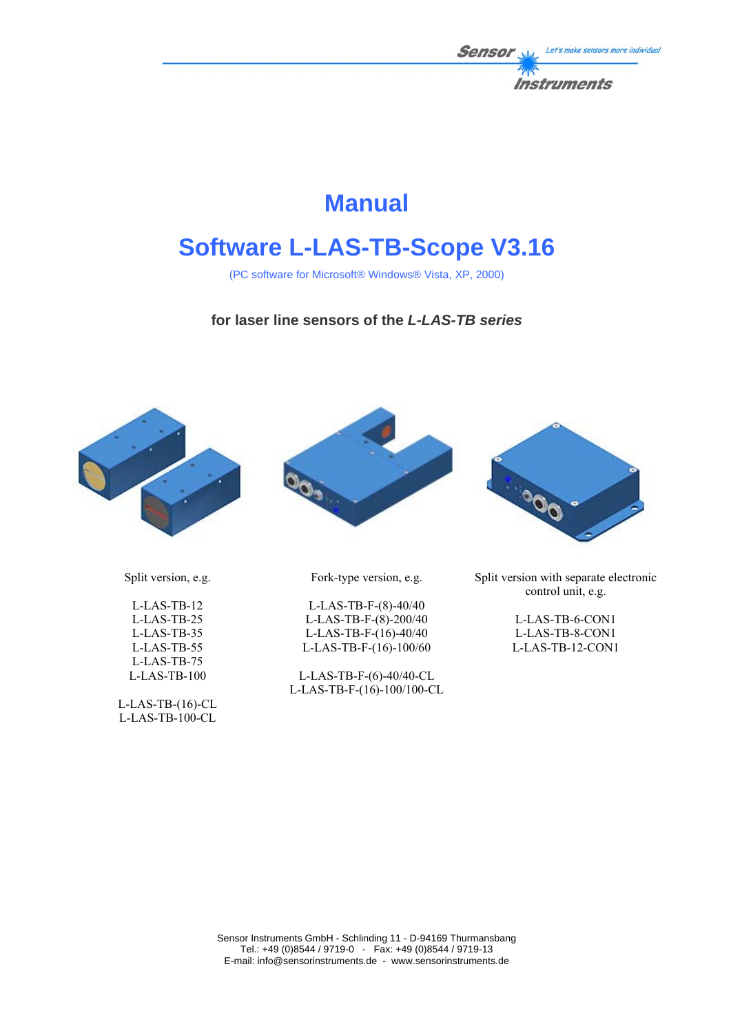

# **Manual**

# **Software L-LAS-TB-Scope V3.16**

(PC software for Microsoft® Windows® Vista, XP, 2000)

# **for laser line sensors of the** *L-LAS-TB series*







Split version with separate electronic control unit, e.g.

> L-LAS-TB-6-CON1 L-LAS-TB-8-CON1 L-LAS-TB-12-CON1

Split version, e.g.

L-LAS-TB-12 L-LAS-TB-25 L-LAS-TB-35 L-LAS-TB-55 L-LAS-TB-75 L-LAS-TB-100

L-LAS-TB-(16)-CL L-LAS-TB-100-CL

Fork-type version, e.g.

L-LAS-TB-F-(8)-40/40 L-LAS-TB-F-(8)-200/40 L-LAS-TB-F-(16)-40/40 L-LAS-TB-F-(16)-100/60

L-LAS-TB-F-(6)-40/40-CL L-LAS-TB-F-(16)-100/100-CL

Sensor Instruments GmbH - Schlinding 11 - D-94169 Thurmansbang Tel.: +49 (0)8544 / 9719-0 - Fax: +49 (0)8544 / 9719-13 E-mail: info@sensorinstruments.de - www.sensorinstruments.de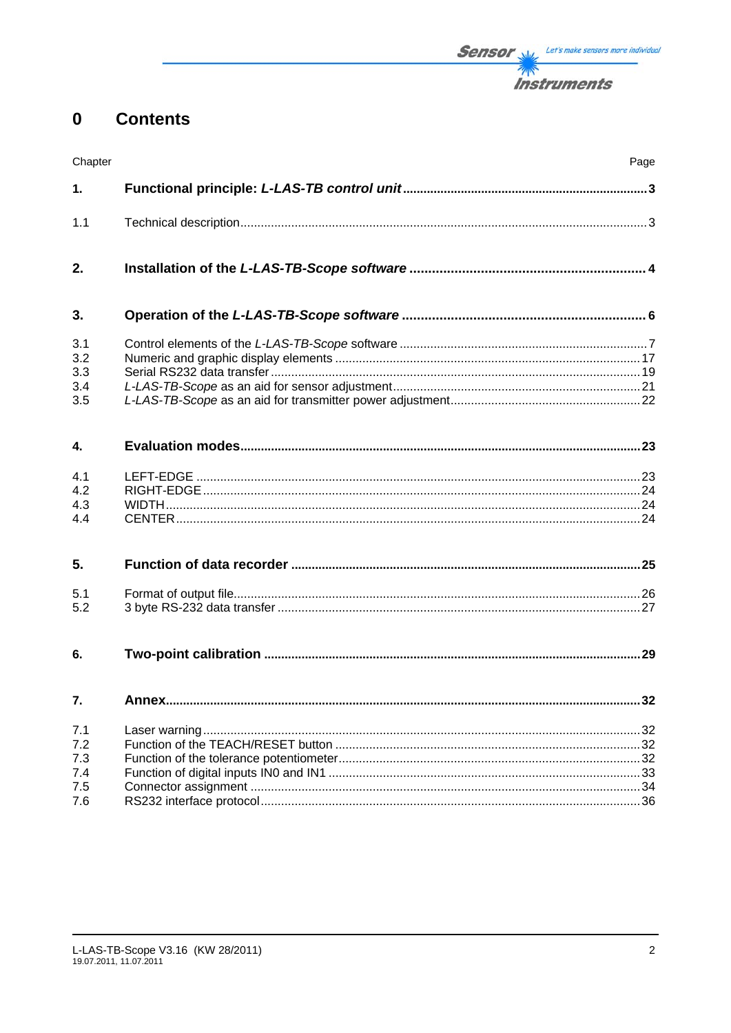#### $\mathbf 0$ **Contents**

| Chapter                         |       | Page |
|---------------------------------|-------|------|
| 1.                              |       |      |
| 1.1                             |       |      |
| 2.                              |       |      |
| 3.                              |       |      |
| 3.1<br>3.2<br>3.3<br>3.4<br>3.5 |       |      |
| 4.                              |       |      |
| 4.1<br>4.2<br>4.3<br>4.4        |       |      |
| 5.                              |       |      |
| 5.1<br>5.2                      |       |      |
| 6.                              |       |      |
| 7.                              | Annex | 32   |
| 7.1<br>7.2<br>7.3<br>7.4<br>7.5 |       |      |
| 7.6                             |       |      |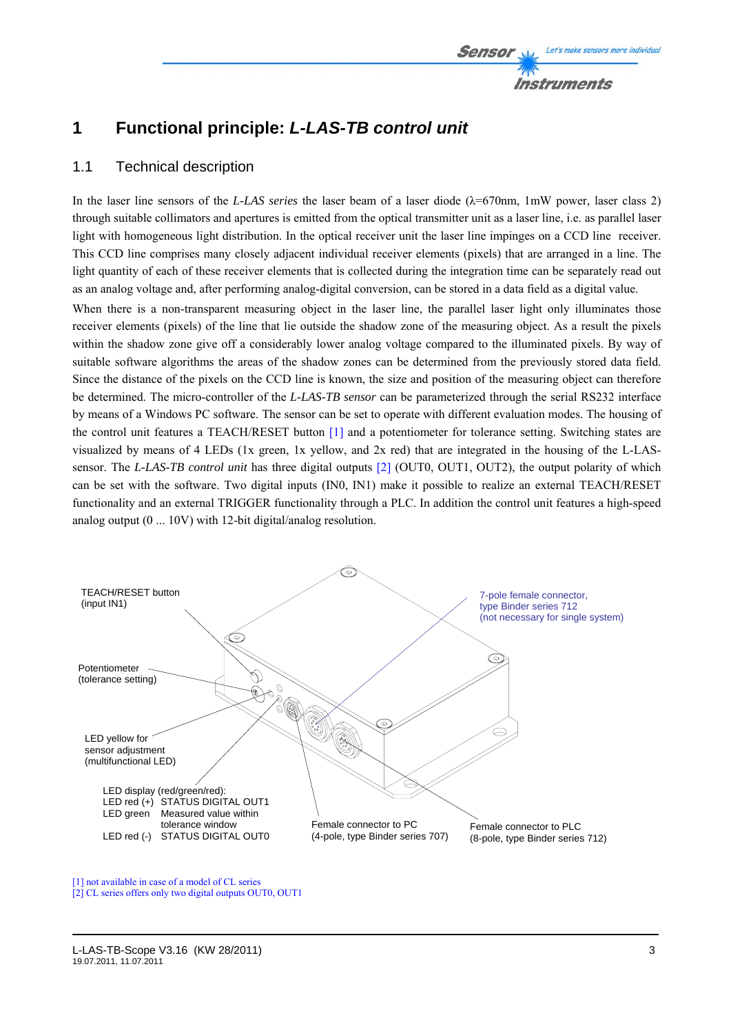# **1 Functional principle:** *L-LAS-TB control unit*

# 1.1 Technical description

In the laser line sensors of the *L-LAS series* the laser beam of a laser diode (λ=670nm, 1mW power, laser class 2) through suitable collimators and apertures is emitted from the optical transmitter unit as a laser line, i.e. as parallel laser light with homogeneous light distribution. In the optical receiver unit the laser line impinges on a CCD line receiver. This CCD line comprises many closely adjacent individual receiver elements (pixels) that are arranged in a line. The light quantity of each of these receiver elements that is collected during the integration time can be separately read out as an analog voltage and, after performing analog-digital conversion, can be stored in a data field as a digital value.

When there is a non-transparent measuring object in the laser line, the parallel laser light only illuminates those receiver elements (pixels) of the line that lie outside the shadow zone of the measuring object. As a result the pixels within the shadow zone give off a considerably lower analog voltage compared to the illuminated pixels. By way of suitable software algorithms the areas of the shadow zones can be determined from the previously stored data field. Since the distance of the pixels on the CCD line is known, the size and position of the measuring object can therefore be determined. The micro-controller of the *L-LAS-TB sensor* can be parameterized through the serial RS232 interface by means of a Windows PC software. The sensor can be set to operate with different evaluation modes. The housing of the control unit features a TEACH/RESET button [1] and a potentiometer for tolerance setting. Switching states are visualized by means of 4 LEDs (1x green, 1x yellow, and 2x red) that are integrated in the housing of the L-LASsensor. The *L-LAS-TB control unit* has three digital outputs [2] (OUT0, OUT1, OUT2), the output polarity of which can be set with the software. Two digital inputs (IN0, IN1) make it possible to realize an external TEACH/RESET functionality and an external TRIGGER functionality through a PLC. In addition the control unit features a high-speed analog output (0 ... 10V) with 12-bit digital/analog resolution.



[1] not available in case of a model of CL series

[2] CL series offers only two digital outputs OUT0, OUT1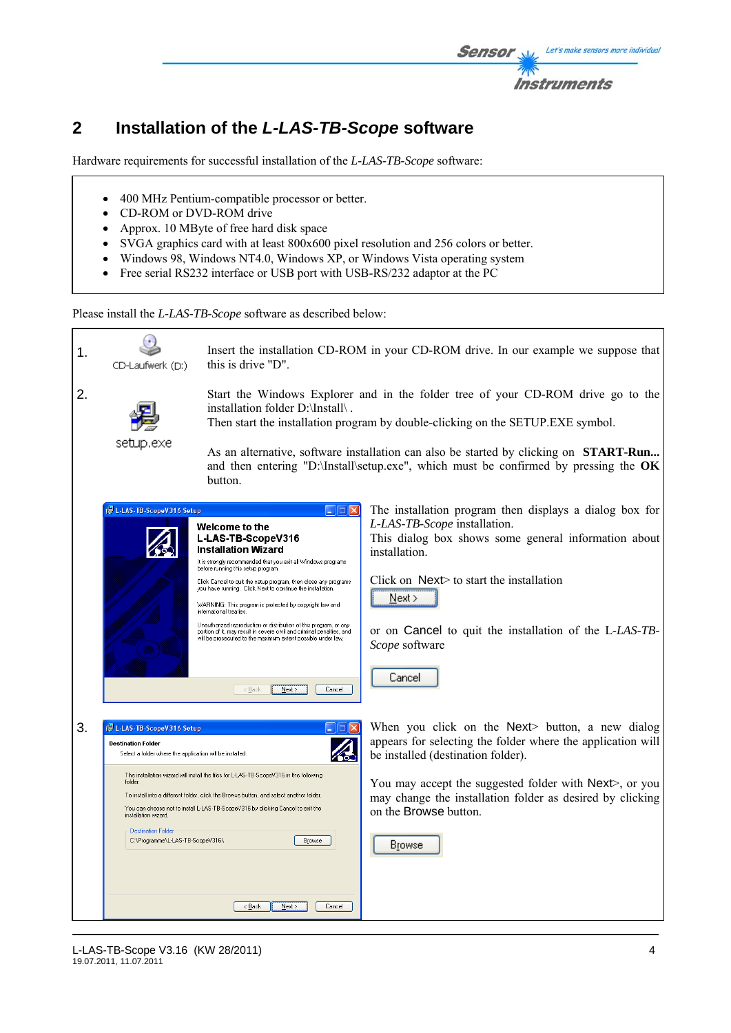

# **2 Installation of the** *L-LAS-TB-Scope* **software**

Hardware requirements for successful installation of the *L-LAS-TB-Scope* software:

- 400 MHz Pentium-compatible processor or better.
- CD-ROM or DVD-ROM drive
- Approx. 10 MByte of free hard disk space
- SVGA graphics card with at least 800x600 pixel resolution and 256 colors or better.
- Windows 98, Windows NT4.0, Windows XP, or Windows Vista operating system
- Free serial RS232 interface or USB port with USB-RS/232 adaptor at the PC

Please install the *L-LAS-TB-Scope* software as described below:

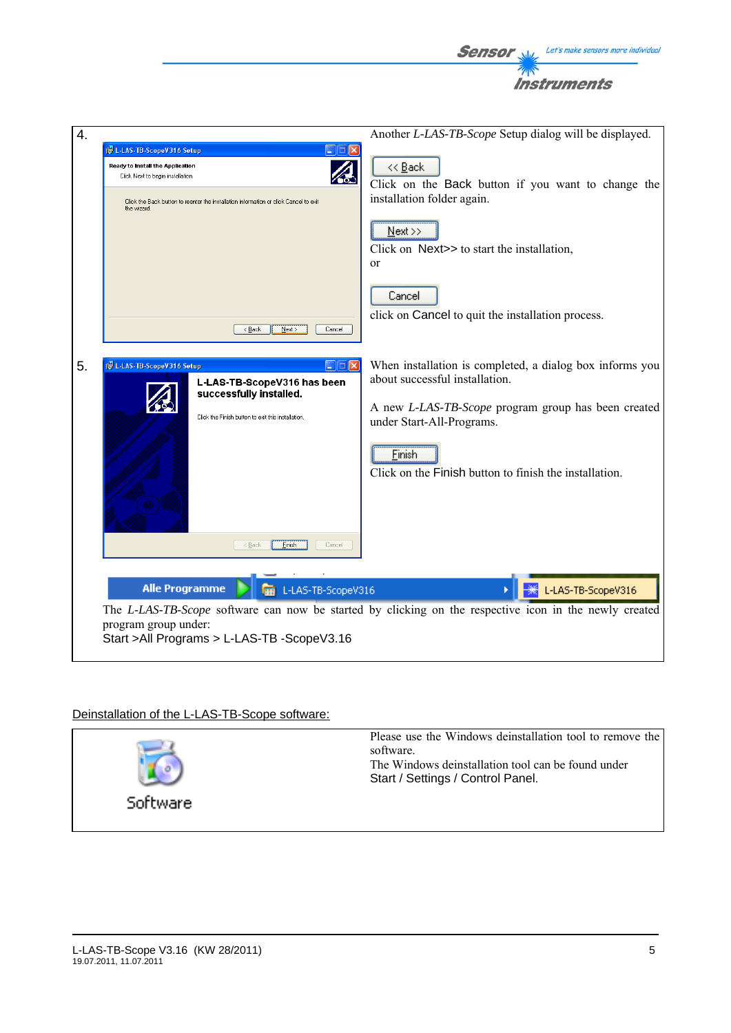

# Deinstallation of the L-LAS-TB-Scope software:

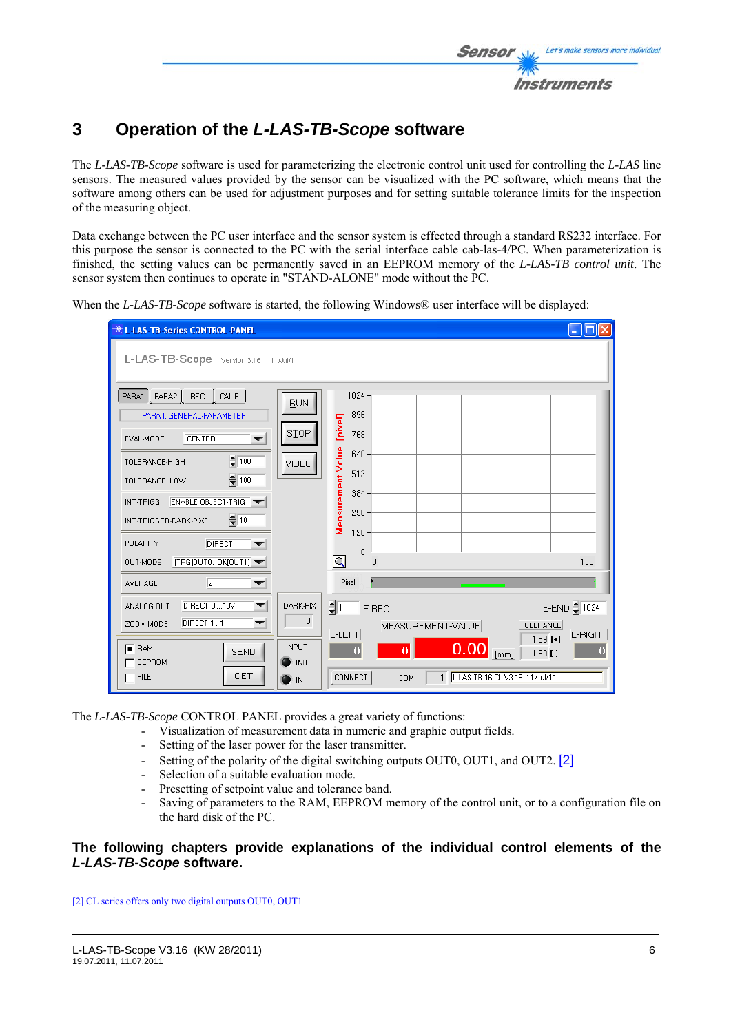

# **3 Operation of the** *L-LAS-TB-Scope* **software**

The *L-LAS-TB-Scope* software is used for parameterizing the electronic control unit used for controlling the *L-LAS* line sensors. The measured values provided by the sensor can be visualized with the PC software, which means that the software among others can be used for adjustment purposes and for setting suitable tolerance limits for the inspection of the measuring object.

Data exchange between the PC user interface and the sensor system is effected through a standard RS232 interface. For this purpose the sensor is connected to the PC with the serial interface cable cab-las-4/PC. When parameterization is finished, the setting values can be permanently saved in an EEPROM memory of the *L-LAS-TB control unit*. The sensor system then continues to operate in "STAND-ALONE" mode without the PC.

When the *L-LAS-TB-Scope* software is started, the following Windows<sup>®</sup> user interface will be displayed:



The *L-LAS-TB-Scope* CONTROL PANEL provides a great variety of functions:

- Visualization of measurement data in numeric and graphic output fields.
- Setting of the laser power for the laser transmitter.
- Setting of the polarity of the digital switching outputs OUT0, OUT1, and OUT2. [2]
- Selection of a suitable evaluation mode.
- Presetting of setpoint value and tolerance band.
- Saving of parameters to the RAM, EEPROM memory of the control unit, or to a configuration file on the hard disk of the PC.

# **The following chapters provide explanations of the individual control elements of the**  *L-LAS-TB-Scope* **software.**

[2] CL series offers only two digital outputs OUT0, OUT1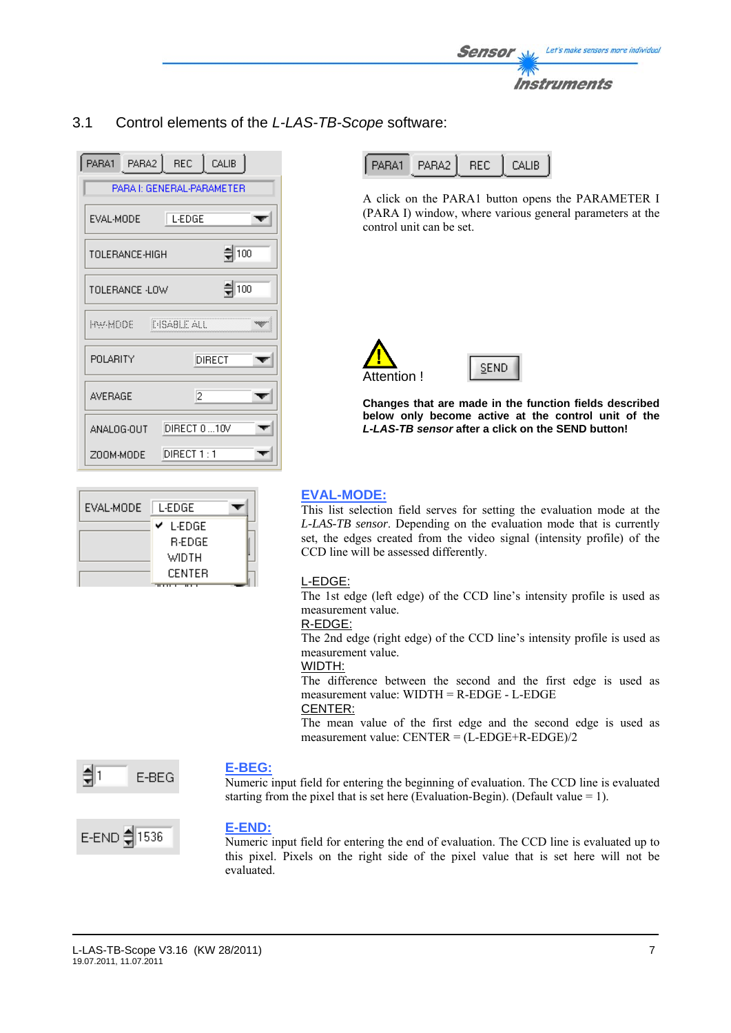

# 3.1 Control elements of the *L-LAS-TB-Scope* software:

|                                     | PARA1 PARA2 REC CALIB     |  |  |  |
|-------------------------------------|---------------------------|--|--|--|
|                                     | PARA I: GENERAL-PARAMETER |  |  |  |
| EVAL-MODE                           | L-EDGE                    |  |  |  |
| $\frac{4}{2}$ 100<br>TOLERANCE-HIGH |                           |  |  |  |
| $\frac{4}{2}$ 100<br>TOLERANCE -LOW |                           |  |  |  |
| <b>INSABLE ALL</b><br>HW-MOOE -     |                           |  |  |  |
| POLARITY                            | DIRECT                    |  |  |  |
| <b>AVERAGE</b>                      | 12                        |  |  |  |
| ANALOG-OUT                          | DIRECT 0  10V             |  |  |  |
| ZOOM-MODE                           | DIRECT 1 : 1              |  |  |  |

| EVAL-MODE | L-EDGE.       |  |
|-----------|---------------|--|
|           | L-EDGE<br>v   |  |
|           | <b>R-EDGE</b> |  |
|           | WIDTH         |  |
|           | CENTER        |  |

| PARA1 PARA2 REC CALIB |  |
|-----------------------|--|
|                       |  |

A click on the PARA1 button opens the PARAMETER I (PARA I) window, where various general parameters at the control unit can be set.



**Changes that are made in the function fields described below only become active at the control unit of the** *L-LAS-TB sensor* **after a click on the SEND button!**

# **EVAL-MODE:**

This list selection field serves for setting the evaluation mode at the *L-LAS-TB sensor*. Depending on the evaluation mode that is currently set, the edges created from the video signal (intensity profile) of the CCD line will be assessed differently.

#### L-EDGE:

The 1st edge (left edge) of the CCD line's intensity profile is used as measurement value.

#### R-EDGE:

The 2nd edge (right edge) of the CCD line's intensity profile is used as measurement value.

#### WIDTH:

The difference between the second and the first edge is used as measurement value: WIDTH = R-EDGE - L-EDGE

# CENTER:

The mean value of the first edge and the second edge is used as measurement value: CENTER = (L-EDGE+R-EDGE)/2



#### **E-BEG:**

Numeric input field for entering the beginning of evaluation. The CCD line is evaluated starting from the pixel that is set here (Evaluation-Begin). (Default value = 1).



#### **E-END:**

Numeric input field for entering the end of evaluation. The CCD line is evaluated up to this pixel. Pixels on the right side of the pixel value that is set here will not be evaluated.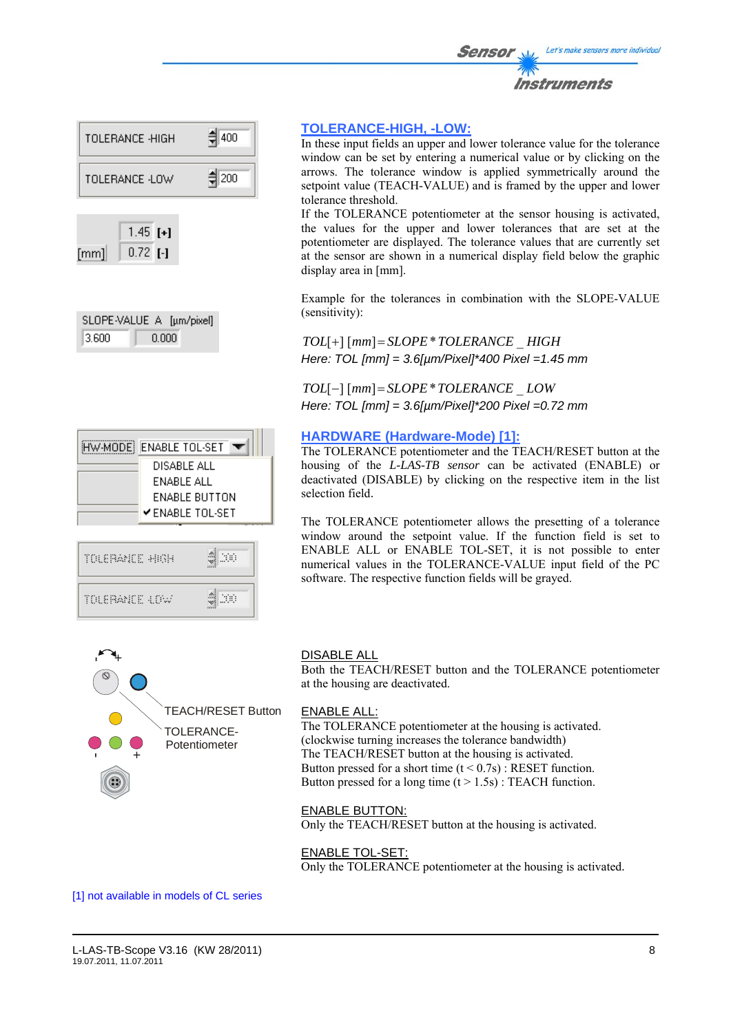



| SLOPE-VALUE A [µm/pixel] |       |  |
|--------------------------|-------|--|
| 3.600                    | 0.000 |  |

| HW-MODE ENABLE TOL-SET | DISABLE ALL<br>ENABLE ALL | ENABLE BUTTON<br>$\checkmark$ enable tol-set |  |  |
|------------------------|---------------------------|----------------------------------------------|--|--|
| TOLERANCE HIGH         |                           |                                              |  |  |
| TOLERANCE 4.0W         |                           |                                              |  |  |

 $\blacksquare$ 

# **TOLERANCE-HIGH, -LOW:**

In these input fields an upper and lower tolerance value for the tolerance window can be set by entering a numerical value or by clicking on the arrows. The tolerance window is applied symmetrically around the setpoint value (TEACH-VALUE) and is framed by the upper and lower tolerance threshold.

If the TOLERANCE potentiometer at the sensor housing is activated, the values for the upper and lower tolerances that are set at the potentiometer are displayed. The tolerance values that are currently set at the sensor are shown in a numerical display field below the graphic display area in [mm].

Example for the tolerances in combination with the SLOPE-VALUE (sensitivity):

*TOL*[+] [*mm*]= *SLOPE*\**TOLERANCE* \_ *HIGH Here: TOL [mm] = 3.6[µm/Pixel]\*400 Pixel =1.45 mm* 

*TOL*[−] [*mm*]= *SLOPE*\**TOLERANCE* \_ *LOW Here: TOL [mm] = 3.6[µm/Pixel]\*200 Pixel =0.72 mm*

#### **HARDWARE (Hardware-Mode) [1]:**

The TOLERANCE potentiometer and the TEACH/RESET button at the housing of the *L-LAS-TB sensor* can be activated (ENABLE) or deactivated (DISABLE) by clicking on the respective item in the list selection field.

The TOLERANCE potentiometer allows the presetting of a tolerance window around the setpoint value. If the function field is set to ENABLE ALL or ENABLE TOL-SET, it is not possible to enter numerical values in the TOLERANCE-VALUE input field of the PC software. The respective function fields will be grayed.



#### DISABLE ALL

Both the TEACH/RESET button and the TOLERANCE potentiometer at the housing are deactivated.

#### ENABLE ALL:

The TOLERANCE potentiometer at the housing is activated. (clockwise turning increases the tolerance bandwidth) The TEACH/RESET button at the housing is activated. Button pressed for a short time  $(t < 0.7s)$ : RESET function. Button pressed for a long time  $(t > 1.5s)$ : TEACH function.

#### ENABLE BUTTON:

Only the TEACH/RESET button at the housing is activated.

#### ENABLE TOL-SET:

Only the TOLERANCE potentiometer at the housing is activated.

[1] not available in models of CL series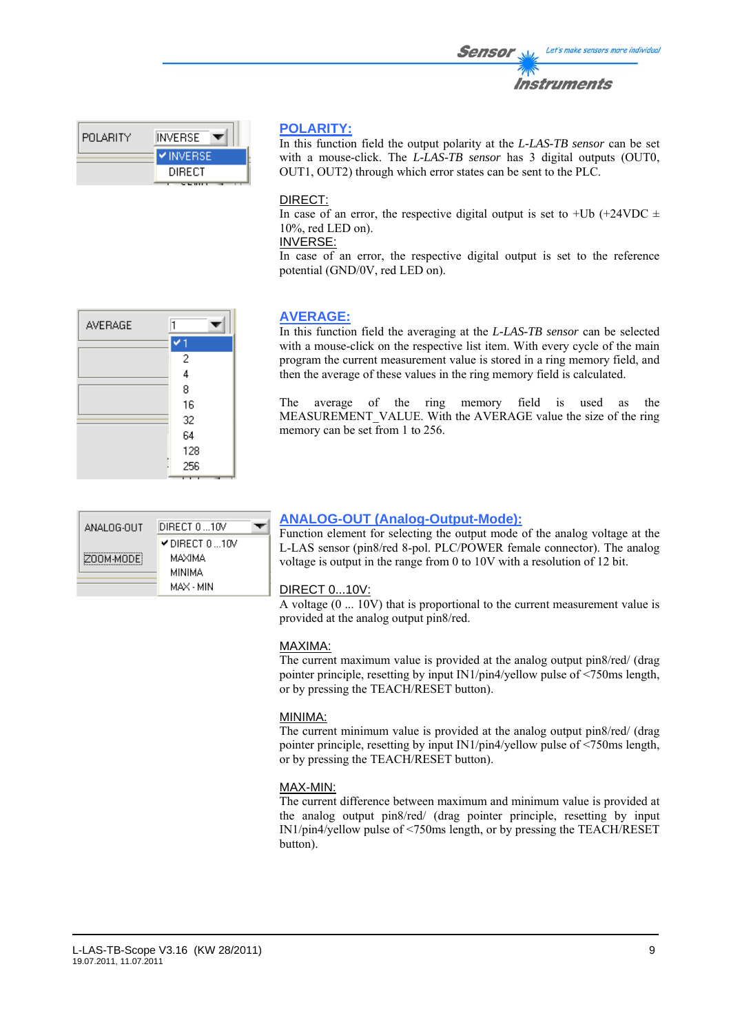| TV<br>nstruments |  |
|------------------|--|
|                  |  |

Let's make sensors more individual

| I POLARITY. | INVERSE         |
|-------------|-----------------|
|             | <b>VINVERSE</b> |
|             | DIRECT          |
|             |                 |

# **POLARITY:**

In this function field the output polarity at the *L-LAS-TB sensor* can be set with a mouse-click. The *L-LAS-TB sensor* has 3 digital outputs (OUT0, OUT1, OUT2) through which error states can be sent to the PLC.

Sensor

II

# DIRECT:

In case of an error, the respective digital output is set to +Ub (+24VDC  $\pm$ 10%, red LED on).

# INVERSE:

In case of an error, the respective digital output is set to the reference potential (GND/0V, red LED on).



# **AVERAGE:**

In this function field the averaging at the *L-LAS-TB sensor* can be selected with a mouse-click on the respective list item. With every cycle of the main program the current measurement value is stored in a ring memory field, and then the average of these values in the ring memory field is calculated.

The average of the ring memory field is used as the MEASUREMENT VALUE. With the AVERAGE value the size of the ring memory can be set from 1 to 256.

| ANALOG-OUT | DIRECT 0 10V                                |  |
|------------|---------------------------------------------|--|
| ZOOM-MODE! | $\blacktriangledown$ DIRECT 0 10V<br>MAXIMA |  |
|            | MINIMA<br>MAX - MIN                         |  |

# **ANALOG-OUT (Analog-Output-Mode):**

Function element for selecting the output mode of the analog voltage at the L-LAS sensor (pin8/red 8-pol. PLC/POWER female connector). The analog voltage is output in the range from 0 to 10V with a resolution of 12 bit.

# DIRECT 0...10V:

A voltage (0 ... 10V) that is proportional to the current measurement value is provided at the analog output pin8/red.

# MAXIMA:

The current maximum value is provided at the analog output pin8/red/ (drag pointer principle, resetting by input IN1/pin4/yellow pulse of <750ms length, or by pressing the TEACH/RESET button).

# MINIMA:

The current minimum value is provided at the analog output pin8/red/ (drag pointer principle, resetting by input IN1/pin4/yellow pulse of <750ms length, or by pressing the TEACH/RESET button).

# MAX-MIN:

The current difference between maximum and minimum value is provided at the analog output pin8/red/ (drag pointer principle, resetting by input IN1/pin4/yellow pulse of <750ms length, or by pressing the TEACH/RESET button).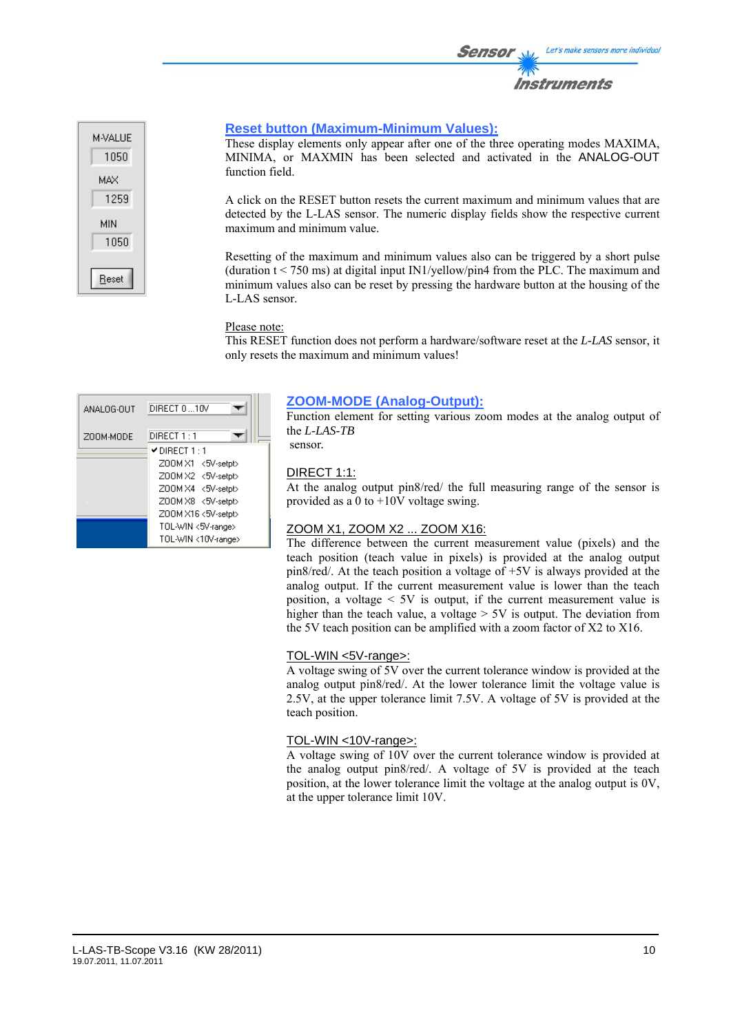



### **Reset button (Maximum-Minimum Values):**

These display elements only appear after one of the three operating modes MAXIMA, MINIMA, or MAXMIN has been selected and activated in the ANALOG-OUT function field.

A click on the RESET button resets the current maximum and minimum values that are detected by the L-LAS sensor. The numeric display fields show the respective current maximum and minimum value.

Resetting of the maximum and minimum values also can be triggered by a short pulse (duration  $t < 750$  ms) at digital input IN1/yellow/pin4 from the PLC. The maximum and minimum values also can be reset by pressing the hardware button at the housing of the L-LAS sensor.

#### Please note:

This RESET function does not perform a hardware/software reset at the *L-LAS* sensor, it only resets the maximum and minimum values!

| ANALOG-OUT | DIRECT 010V                       |
|------------|-----------------------------------|
| ZOOM-MODE  | DIRECT 1 : 1                      |
|            | $\blacktriangledown$ DIRECT 1 : 1 |
|            | Z00M X1 <5V-setpt>                |
|            | Z00MX2 <5V-setpt>                 |
|            | Z00M X4 <5V-setpt>                |
|            | Z00M X8 <5V-setpt>                |
|            | Z00M X16 <5V-setpt>               |
|            | TOL-WIN <5V-range>                |
|            | TOL-WIN <10V-range>               |

#### **ZOOM-MODE (Analog-Output):**

Function element for setting various zoom modes at the analog output of the *L-LAS-TB*  sensor*.*

# DIRECT 1:1:

At the analog output pin8/red/ the full measuring range of the sensor is provided as a 0 to +10V voltage swing.

#### ZOOM X1, ZOOM X2 ... ZOOM X16:

The difference between the current measurement value (pixels) and the teach position (teach value in pixels) is provided at the analog output pin8/red/. At the teach position a voltage of +5V is always provided at the analog output. If the current measurement value is lower than the teach position, a voltage  $\leq 5V$  is output, if the current measurement value is higher than the teach value, a voltage  $> 5V$  is output. The deviation from the 5V teach position can be amplified with a zoom factor of X2 to X16.

#### TOL-WIN <5V-range>:

A voltage swing of 5V over the current tolerance window is provided at the analog output pin8/red/. At the lower tolerance limit the voltage value is 2.5V, at the upper tolerance limit 7.5V. A voltage of 5V is provided at the teach position.

#### TOL-WIN <10V-range>:

A voltage swing of 10V over the current tolerance window is provided at the analog output pin8/red/. A voltage of 5V is provided at the teach position, at the lower tolerance limit the voltage at the analog output is 0V, at the upper tolerance limit 10V.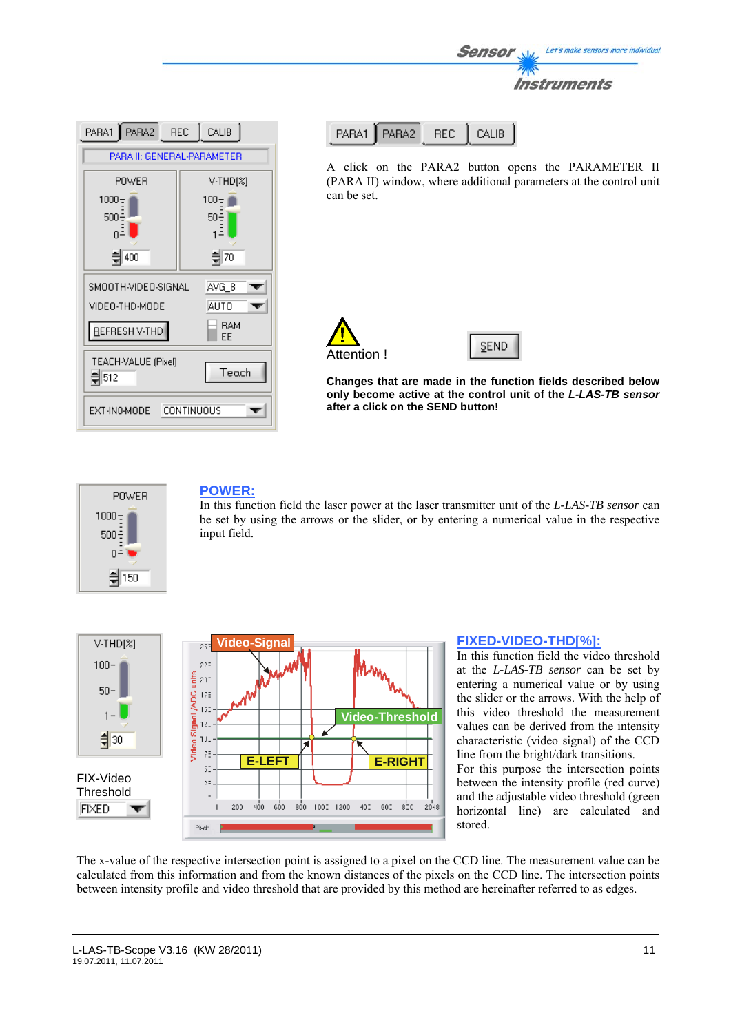| PARA2 REC<br>CALIB<br>PARA1               |         |  |  |  |
|-------------------------------------------|---------|--|--|--|
| PARA II: GENERAL-PARAMETER                |         |  |  |  |
| POWER<br>V-THD[%]                         |         |  |  |  |
| $1000 -$                                  | $100 -$ |  |  |  |
| 500<br>50÷                                |         |  |  |  |
| 취70<br>400                                |         |  |  |  |
| SMOOTH-VIDEO-SIGNAL<br>AVG_8              |         |  |  |  |
| VIDEO-THD-MODE                            | AUTO    |  |  |  |
| <b>RAM</b><br>REFRESH V-THD<br>ΕE         |         |  |  |  |
| TEACH-VALUE (Pixel)<br>Teach<br>$\xi$ 512 |         |  |  |  |
| EXT-IN0-MODE<br>CONTINUOUS                |         |  |  |  |

| PARA1   PARA2 | - REL- | $\Box$ CALIB |
|---------------|--------|--------------|
|               |        |              |

A click on the PARA2 button opens the PARAMETER II (PARA II) window, where additional parameters at the control unit can be set.

Sensor

Let's make sensors more individual

Instruments





**Changes that are made in the function fields described below only become active at the control unit of the** *L-LAS-TB sensor* **after a click on the SEND button!**



# **POWER:**

In this function field the laser power at the laser transmitter unit of the *L-LAS-TB sensor* can be set by using the arrows or the slider, or by entering a numerical value in the respective input field.



# **FIXED-VIDEO-THD[%]:**

In this function field the video threshold at the *L-LAS-TB sensor* can be set by entering a numerical value or by using the slider or the arrows. With the help of this video threshold the measurement values can be derived from the intensity characteristic (video signal) of the CCD line from the bright/dark transitions.

For this purpose the intersection points between the intensity profile (red curve) and the adjustable video threshold (green horizontal line) are calculated and stored.

The x-value of the respective intersection point is assigned to a pixel on the CCD line. The measurement value can be calculated from this information and from the known distances of the pixels on the CCD line. The intersection points between intensity profile and video threshold that are provided by this method are hereinafter referred to as edges.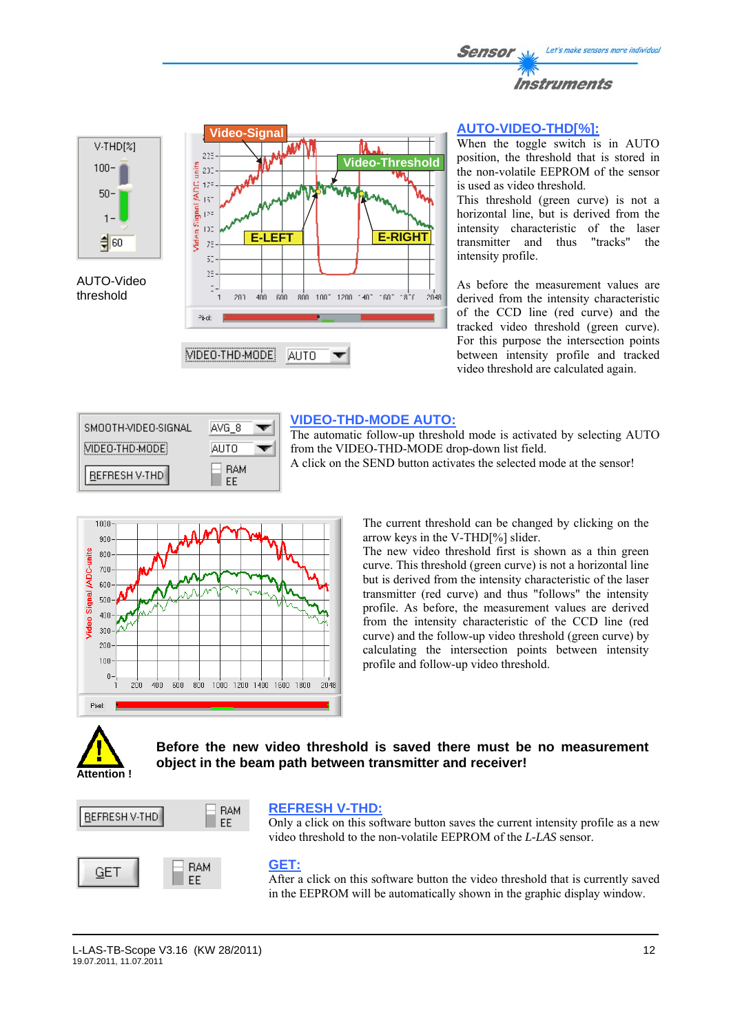



AUTO-Video threshold



# **AUTO-VIDEO-THD[%]:**

When the toggle switch is in AUTO position, the threshold that is stored in the non-volatile EEPROM of the sensor is used as video threshold.

This threshold (green curve) is not a horizontal line, but is derived from the intensity characteristic of the laser transmitter and thus "tracks" the intensity profile.

As before the measurement values are derived from the intensity characteristic of the CCD line (red curve) and the tracked video threshold (green curve). For this purpose the intersection points between intensity profile and tracked video threshold are calculated again.



# **VIDEO-THD-MODE AUTO:**

The automatic follow-up threshold mode is activated by selecting AUTO from the VIDEO-THD-MODE drop-down list field. A click on the SEND button activates the selected mode at the sensor!



The current threshold can be changed by clicking on the arrow keys in the V-THD[%] slider.

The new video threshold first is shown as a thin green curve. This threshold (green curve) is not a horizontal line but is derived from the intensity characteristic of the laser transmitter (red curve) and thus "follows" the intensity profile. As before, the measurement values are derived from the intensity characteristic of the CCD line (red curve) and the follow-up video threshold (green curve) by calculating the intersection points between intensity profile and follow-up video threshold.



**Before the new video threshold is saved there must be no measurement object in the beam path between transmitter and receiver!** 



#### **REFRESH V-THD:**

Only a click on this software button saves the current intensity profile as a new video threshold to the non-volatile EEPROM of the *L-LAS* sensor.

# **GET:**

After a click on this software button the video threshold that is currently saved in the EEPROM will be automatically shown in the graphic display window.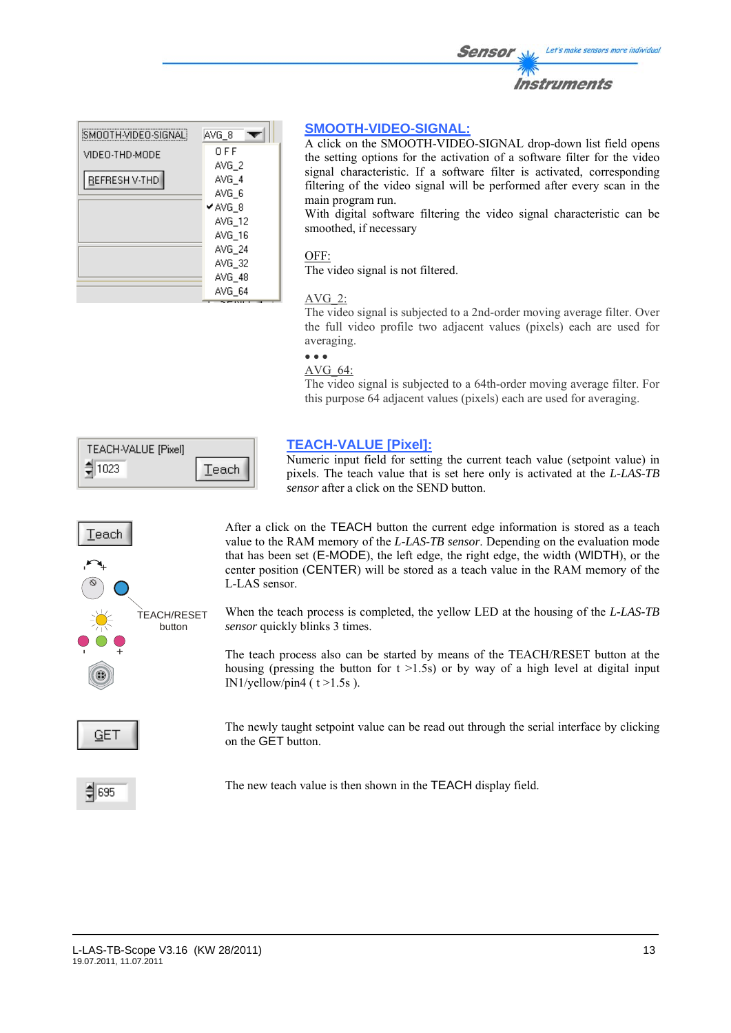| SMOOTH-VIDEO-SIGNAL! | AVG_8  |
|----------------------|--------|
| VIDEO-THD-MODE       | OFF    |
|                      | AVG 2  |
| REFRESH V-THD        | AVG 4  |
|                      | AVG 6  |
|                      | ✔AVG 8 |
|                      | AVG 12 |
|                      | AVG 16 |
|                      | AVG 24 |
|                      | AVG 32 |
|                      | AVG 48 |
|                      | AVG 64 |

# **SMOOTH-VIDEO-SIGNAL:**

A click on the SMOOTH-VIDEO-SIGNAL drop-down list field opens the setting options for the activation of a software filter for the video signal characteristic. If a software filter is activated, corresponding filtering of the video signal will be performed after every scan in the main program run.

With digital software filtering the video signal characteristic can be smoothed, if necessary

#### OFF:

The video signal is not filtered.

# AVG\_2:

The video signal is subjected to a 2nd-order moving average filter. Over the full video profile two adjacent values (pixels) each are used for averaging.

#### • • • AVG\_64:

The video signal is subjected to a 64th-order moving average filter. For this purpose 64 adjacent values (pixels) each are used for averaging.

| TEACH-VALUE [Pixel] |       |
|---------------------|-------|
| 1023.<br>⊐          | Teach |



**TEACH-VALUE [Pixel]:**

Numeric input field for setting the current teach value (setpoint value) in pixels. The teach value that is set here only is activated at the *L-LAS-TB sensor* after a click on the SEND button.

After a click on the TEACH button the current edge information is stored as a teach value to the RAM memory of the *L-LAS-TB sensor*. Depending on the evaluation mode that has been set (E-MODE), the left edge, the right edge, the width (WIDTH), or the center position (CENTER) will be stored as a teach value in the RAM memory of the L-LAS sensor.

When the teach process is completed, the yellow LED at the housing of the *L-LAS-TB sensor* quickly blinks 3 times.

The teach process also can be started by means of the TEACH/RESET button at the housing (pressing the button for  $t > 1.5s$ ) or by way of a high level at digital input IN1/yellow/pin4 ( $t > 1.5s$ ).

The newly taught setpoint value can be read out through the serial interface by clicking on the GET button.

 $\xi$  695

The new teach value is then shown in the TEACH display field.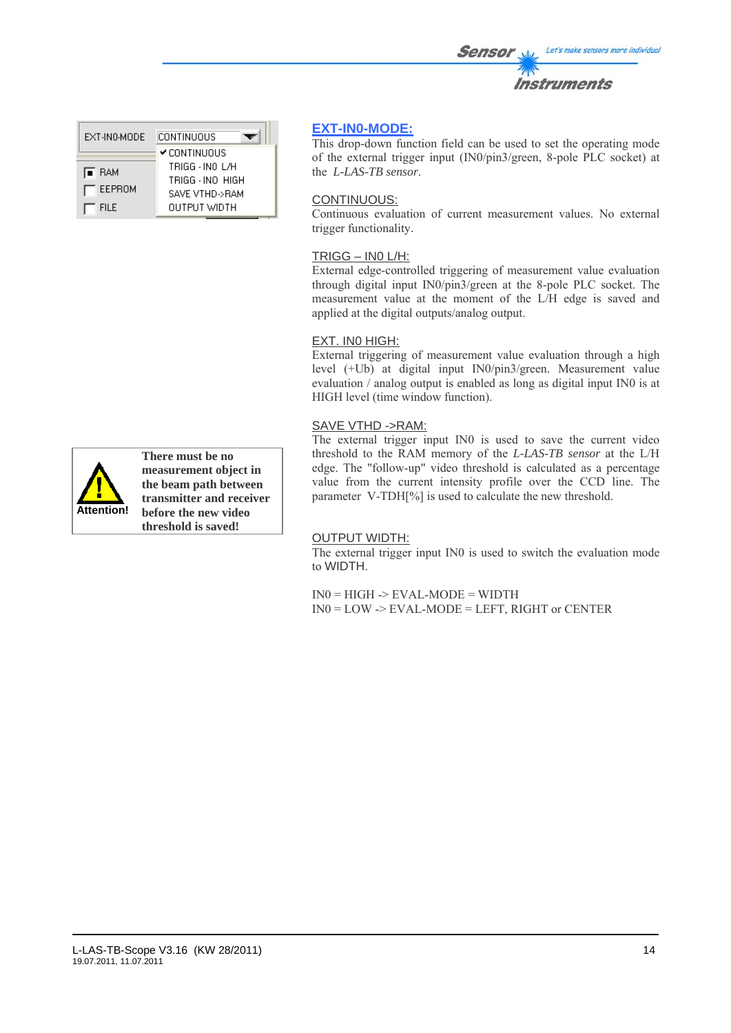| CONTINUOUS          |
|---------------------|
| <b>✔</b> CONTINUOUS |
| TRIGG - INO L/H     |
| TRIGG - INO HIGH    |
| SAVE VTHD->RAM      |
| OUTPUT WIDTH        |
|                     |



**There must be no measurement object in the beam path between transmitter and receiver before the new video threshold is saved!**

# **EXT-IN0-MODE:**

This drop-down function field can be used to set the operating mode of the external trigger input (IN0/pin3/green, 8-pole PLC socket) at the *L-LAS-TB sensor*.

# CONTINUOUS:

Continuous evaluation of current measurement values. No external trigger functionality.

# TRIGG – IN0 L/H:

External edge-controlled triggering of measurement value evaluation through digital input IN0/pin3/green at the 8-pole PLC socket. The measurement value at the moment of the L/H edge is saved and applied at the digital outputs/analog output.

# EXT. IN0 HIGH:

External triggering of measurement value evaluation through a high level (+Ub) at digital input IN0/pin3/green. Measurement value evaluation / analog output is enabled as long as digital input IN0 is at HIGH level (time window function).

# SAVE VTHD ->RAM:

The external trigger input IN0 is used to save the current video threshold to the RAM memory of the *L-LAS-TB sensor* at the L/H edge. The "follow-up" video threshold is calculated as a percentage value from the current intensity profile over the CCD line. The parameter V-TDH[%] is used to calculate the new threshold.

# OUTPUT WIDTH:

The external trigger input IN0 is used to switch the evaluation mode to WIDTH.

 $IN0 = HIGH \rightarrow EVAL-MODE = WIDTH$ IN0 = LOW -> EVAL-MODE = LEFT, RIGHT or CENTER

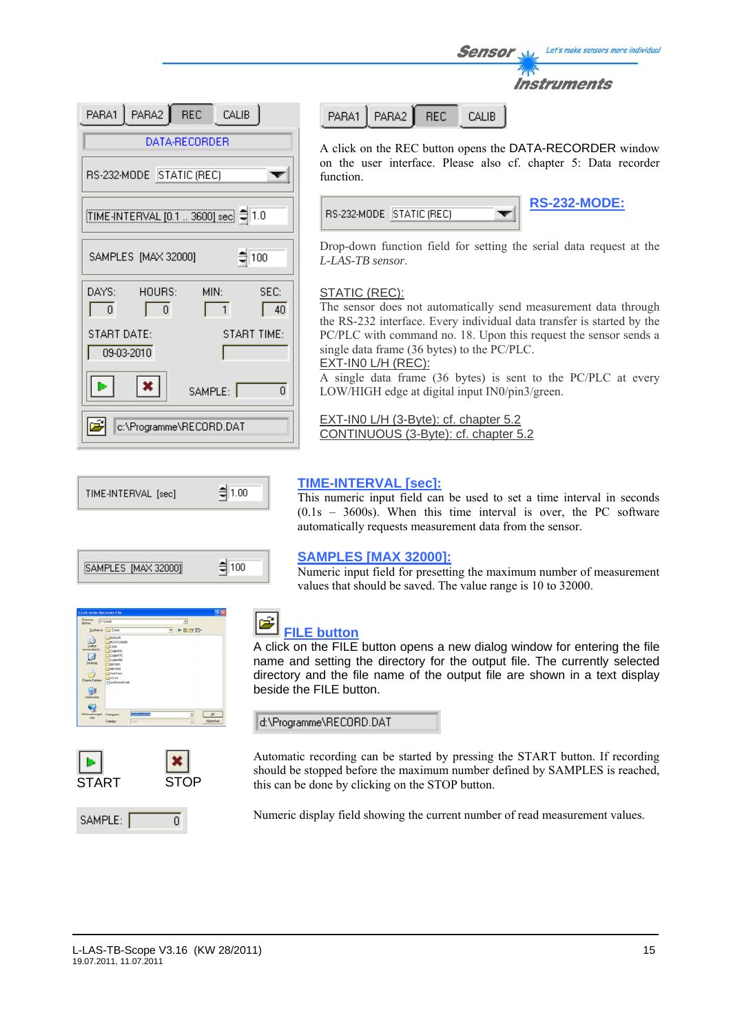| PARA1 PARA2 REC CALIB                                               |  |  |  |  |
|---------------------------------------------------------------------|--|--|--|--|
| DATA-RECORDER                                                       |  |  |  |  |
| RS-232-MODE STATIC (REC)                                            |  |  |  |  |
| TIME-INTERVAL [0.1  3600] sec = 1.0                                 |  |  |  |  |
| $\frac{4}{3}$ 100<br>SAMPLES [MAX 32000]                            |  |  |  |  |
| DAYS:<br>HOURS:<br>SEC:<br>MIN:<br>$\Omega$<br>$\overline{0}$<br>40 |  |  |  |  |
| START DATE:<br>START TIME:<br>09-03-2010                            |  |  |  |  |
| $\vert x \vert$<br>SAMPLE:<br>n                                     |  |  |  |  |
| c:\Programme\RECORD.DAT                                             |  |  |  |  |

PARA2 **REC CALIB** PARA1

A click on the REC button opens the DATA-RECORDER window on the user interface. Please also cf. chapter 5: Data recorder function.

Sensor

| RS-232-MODE ISTATIC (REC) |  | <b>RS-23</b> |
|---------------------------|--|--------------|
|                           |  |              |



Instruments

Let's make sensors more individual

Drop-down function field for setting the serial data request at the *L-LAS-TB sensor*.

# STATIC (REC):

The sensor does not automatically send measurement data through the RS-232 interface. Every individual data transfer is started by the PC/PLC with command no. 18. Upon this request the sensor sends a single data frame (36 bytes) to the PC/PLC. EXT-IN0 L/H (REC):

A single data frame (36 bytes) is sent to the PC/PLC at every LOW/HIGH edge at digital input IN0/pin3/green.

EXT-IN0 L/H (3-Byte): cf. chapter 5.2 CONTINUOUS (3-Byte): cf. chapter 5.2



| MPLES [MAX 320<br>INE |  |
|-----------------------|--|
|                       |  |





SAMPLE:

# **TIME-INTERVAL [sec]:**

This numeric input field can be used to set a time interval in seconds (0.1s – 3600s). When this time interval is over, the PC software automatically requests measurement data from the sensor.

# **SAMPLES [MAX 32000]:**

Numeric input field for presetting the maximum number of measurement values that should be saved. The value range is 10 to 32000.



# **FILE button**

A click on the FILE button opens a new dialog window for entering the file name and setting the directory for the output file. The currently selected directory and the file name of the output file are shown in a text display beside the FILE button.

d:\Programme\RECORD.DAT

Automatic recording can be started by pressing the START button. If recording should be stopped before the maximum number defined by SAMPLES is reached, this can be done by clicking on the STOP button.

Numeric display field showing the current number of read measurement values.

 $\overline{0}$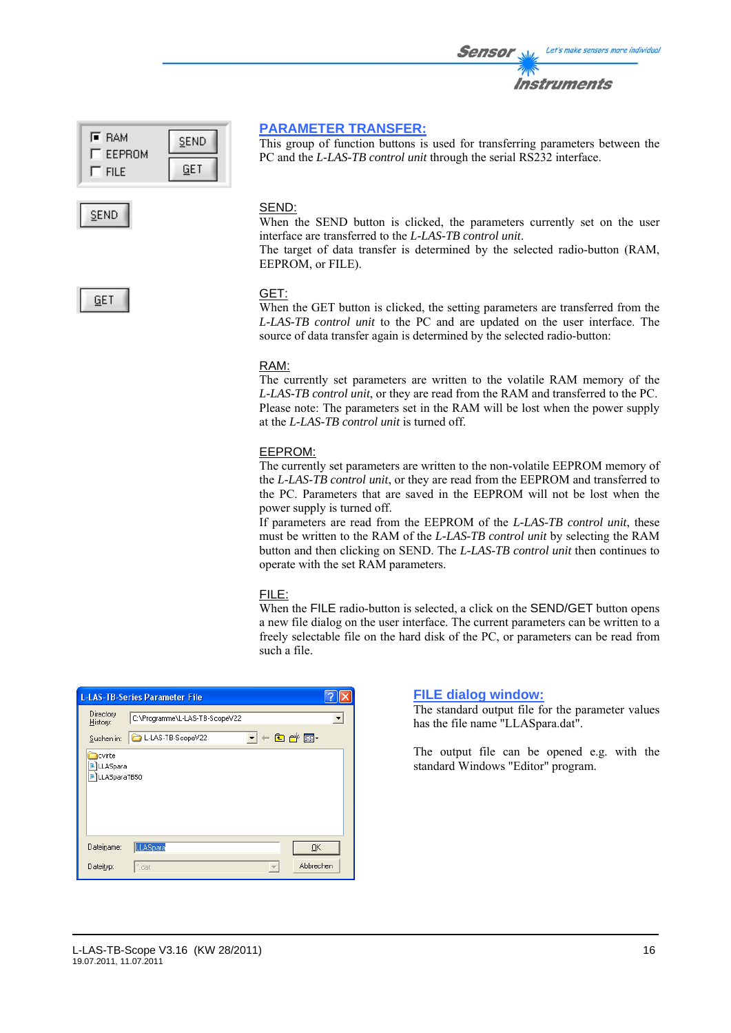| l≣ RAM<br>EEPROM | SEND |  |  |
|------------------|------|--|--|
| <b>FILE</b>      |      |  |  |



# **PARAMETER TRANSFER:**

This group of function buttons is used for transferring parameters between the PC and the *L-LAS-TB control unit* through the serial RS232 interface.

# SEND:

When the SEND button is clicked, the parameters currently set on the user interface are transferred to the *L-LAS-TB control unit*.

The target of data transfer is determined by the selected radio-button (RAM, EEPROM, or FILE).



#### GET:

When the GET button is clicked, the setting parameters are transferred from the *L-LAS-TB control unit* to the PC and are updated on the user interface. The source of data transfer again is determined by the selected radio-button:

#### RAM:

The currently set parameters are written to the volatile RAM memory of the *L-LAS-TB control unit*, or they are read from the RAM and transferred to the PC. Please note: The parameters set in the RAM will be lost when the power supply at the *L-LAS-TB control unit* is turned off.

# EEPROM:

The currently set parameters are written to the non-volatile EEPROM memory of the *L-LAS-TB control unit*, or they are read from the EEPROM and transferred to the PC. Parameters that are saved in the EEPROM will not be lost when the power supply is turned off.

If parameters are read from the EEPROM of the *L-LAS-TB control unit*, these must be written to the RAM of the *L-LAS-TB control unit* by selecting the RAM button and then clicking on SEND. The *L-LAS-TB control unit* then continues to operate with the set RAM parameters.

#### FILE:

When the FILE radio-button is selected, a click on the SEND/GET button opens a new file dialog on the user interface. The current parameters can be written to a freely selectable file on the hard disk of the PC, or parameters can be read from such a file.

|                                    | <b>L-LAS-TB-Series Parameter File</b> |         |        |           |  |
|------------------------------------|---------------------------------------|---------|--------|-----------|--|
| Directory<br>History:              | C:\Programme\L-LAS-TB-ScopeV22        |         |        |           |  |
| Suchen in:                         | L-LAS-TB-ScopeV22                     | $\vert$ |        | ←白び囲・     |  |
| cvirte<br>LLASpara<br>LLASparaTB50 |                                       |         |        |           |  |
| Dateiname:                         | LLASpara                              |         |        | QK        |  |
| Dateityp:                          | l <sup>*</sup> .dat                   |         | $\sim$ | Abbrechen |  |

# **FILE dialog window:**

The standard output file for the parameter values has the file name "LLASpara.dat".

The output file can be opened e.g. with the standard Windows "Editor" program.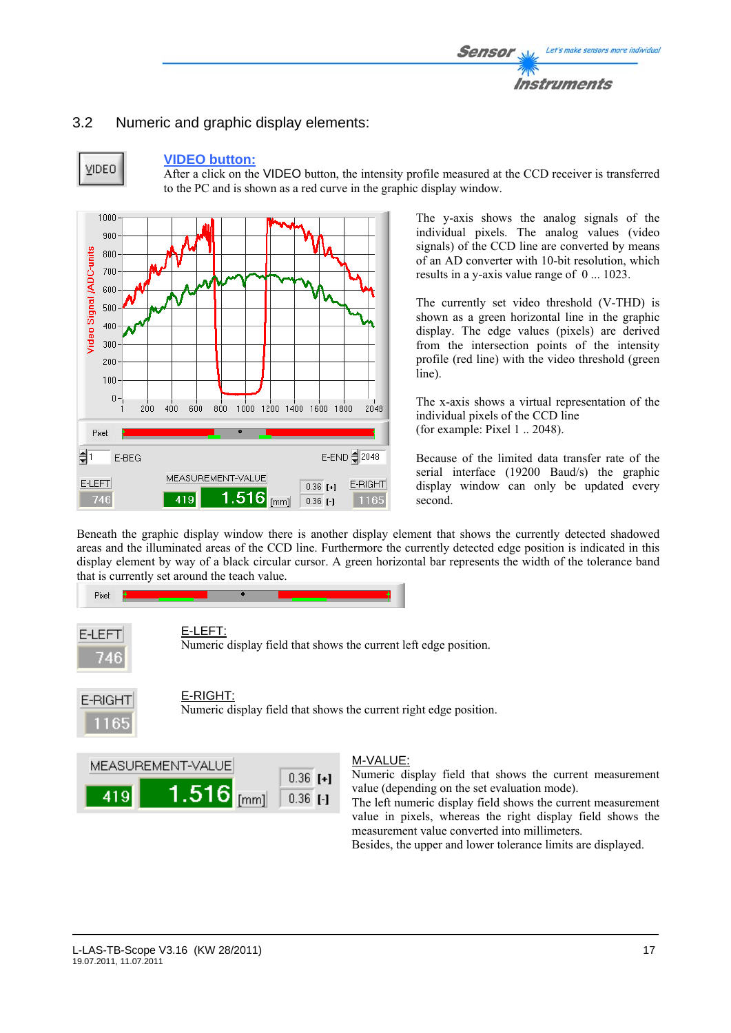# 3.2 Numeric and graphic display elements:



#### **VIDEO button:**

After a click on the VIDEO button, the intensity profile measured at the CCD receiver is transferred to the PC and is shown as a red curve in the graphic display window.



The y-axis shows the analog signals of the individual pixels. The analog values (video signals) of the CCD line are converted by means of an AD converter with 10-bit resolution, which results in a y-axis value range of 0 ... 1023.

The currently set video threshold (V-THD) is shown as a green horizontal line in the graphic display. The edge values (pixels) are derived from the intersection points of the intensity profile (red line) with the video threshold (green line).

The x-axis shows a virtual representation of the individual pixels of the CCD line (for example: Pixel 1 .. 2048).

Because of the limited data transfer rate of the serial interface (19200 Baud/s) the graphic display window can only be updated every second.

Beneath the graphic display window there is another display element that shows the currently detected shadowed areas and the illuminated areas of the CCD line. Furthermore the currently detected edge position is indicated in this display element by way of a black circular cursor. A green horizontal bar represents the width of the tolerance band that is currently set around the teach value.





Numeric display field that shows the current left edge position.



# E-RIGHT:

Numeric display field that shows the current right edge position.



# M-VALUE:

Numeric display field that shows the current measurement value (depending on the set evaluation mode).

The left numeric display field shows the current measurement value in pixels, whereas the right display field shows the measurement value converted into millimeters.

Besides, the upper and lower tolerance limits are displayed.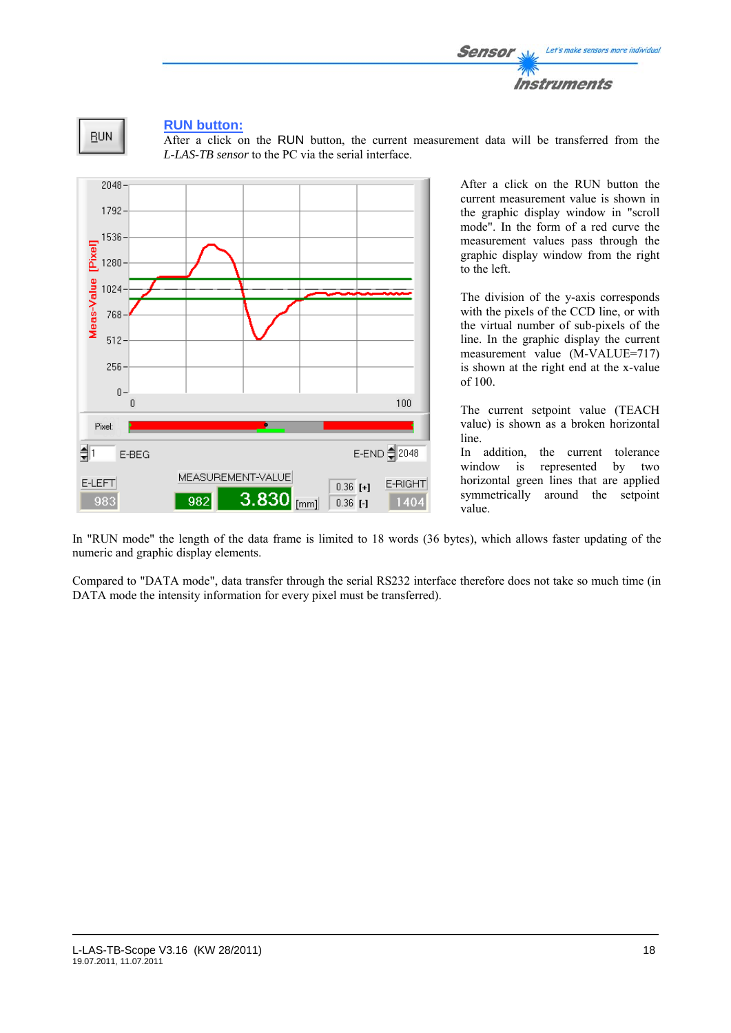



# **RUN button:**

After a click on the RUN button, the current measurement data will be transferred from the *L-LAS-TB sensor* to the PC via the serial interface.



After a click on the RUN button the current measurement value is shown in the graphic display window in "scroll mode". In the form of a red curve the measurement values pass through the graphic display window from the right to the left.

The division of the y-axis corresponds with the pixels of the CCD line, or with the virtual number of sub-pixels of the line. In the graphic display the current measurement value (M-VALUE=717) is shown at the right end at the x-value of 100.

The current setpoint value (TEACH value) is shown as a broken horizontal line.

In addition, the current tolerance window is represented by two horizontal green lines that are applied symmetrically around the setpoint value.

In "RUN mode" the length of the data frame is limited to 18 words (36 bytes), which allows faster updating of the numeric and graphic display elements.

Compared to "DATA mode", data transfer through the serial RS232 interface therefore does not take so much time (in DATA mode the intensity information for every pixel must be transferred).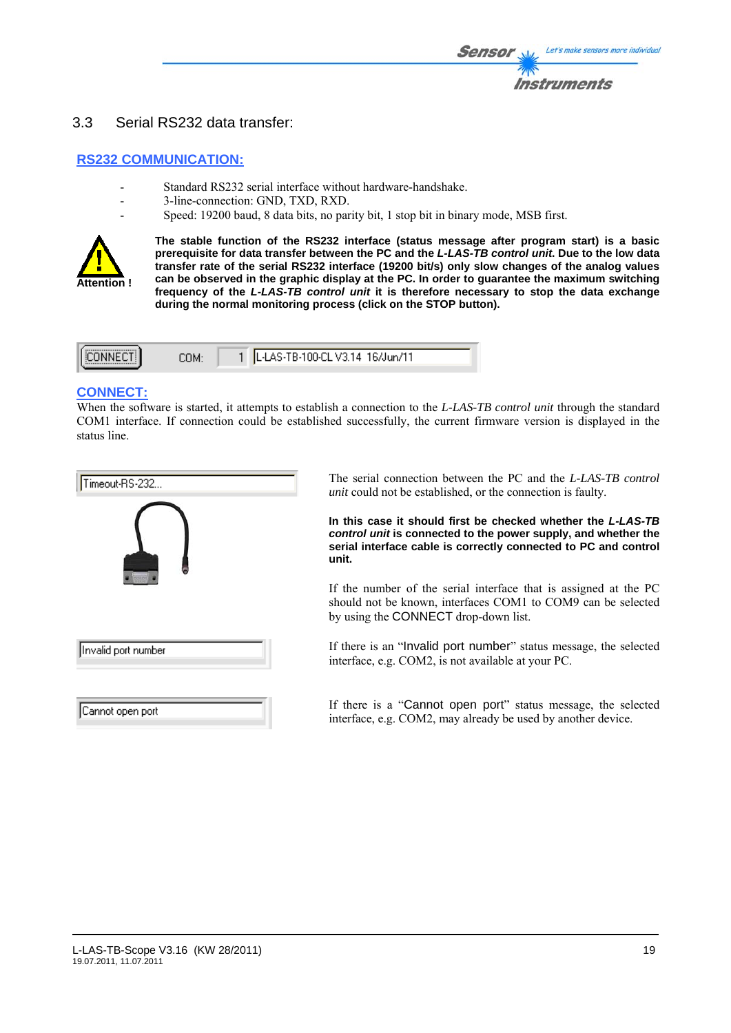# 3.3 Serial RS232 data transfer:

# **RS232 COMMUNICATION:**

- Standard RS232 serial interface without hardware-handshake.
- 3-line-connection: GND, TXD, RXD.
- Speed: 19200 baud, 8 data bits, no parity bit, 1 stop bit in binary mode, MSB first.



**The stable function of the RS232 interface (status message after program start) is a basic prerequisite for data transfer between the PC and the** *L-LAS-TB control unit***. Due to the low data transfer rate of the serial RS232 interface (19200 bit/s) only slow changes of the analog values can be observed in the graphic display at the PC. In order to guarantee the maximum switching frequency of the** *L-LAS-TB control unit* **it is therefore necessary to stop the data exchange during the normal monitoring process (click on the STOP button).** 

| LL-LAS-TB-100-CL V3.14 16/Jun/11<br>ILICONNECTI L<br>COM: |  |
|-----------------------------------------------------------|--|
|-----------------------------------------------------------|--|

# **CONNECT:**

When the software is started, it attempts to establish a connection to the *L-LAS-TB control unit* through the standard COM1 interface. If connection could be established successfully, the current firmware version is displayed in the status line.

| Timeout-RS-232      |
|---------------------|
|                     |
|                     |
|                     |
| Invalid port number |
|                     |
|                     |
| Cannot open port    |

The serial connection between the PC and the *L-LAS-TB control unit* could not be established, or the connection is faulty.

**In this case it should first be checked whether the** *L-LAS-TB control unit* **is connected to the power supply, and whether the serial interface cable is correctly connected to PC and control unit.** 

If the number of the serial interface that is assigned at the PC should not be known, interfaces COM1 to COM9 can be selected by using the CONNECT drop-down list.

If there is an "Invalid port number" status message, the selected interface, e.g. COM2, is not available at your PC.

If there is a "Cannot open port" status message, the selected interface, e.g. COM2, may already be used by another device.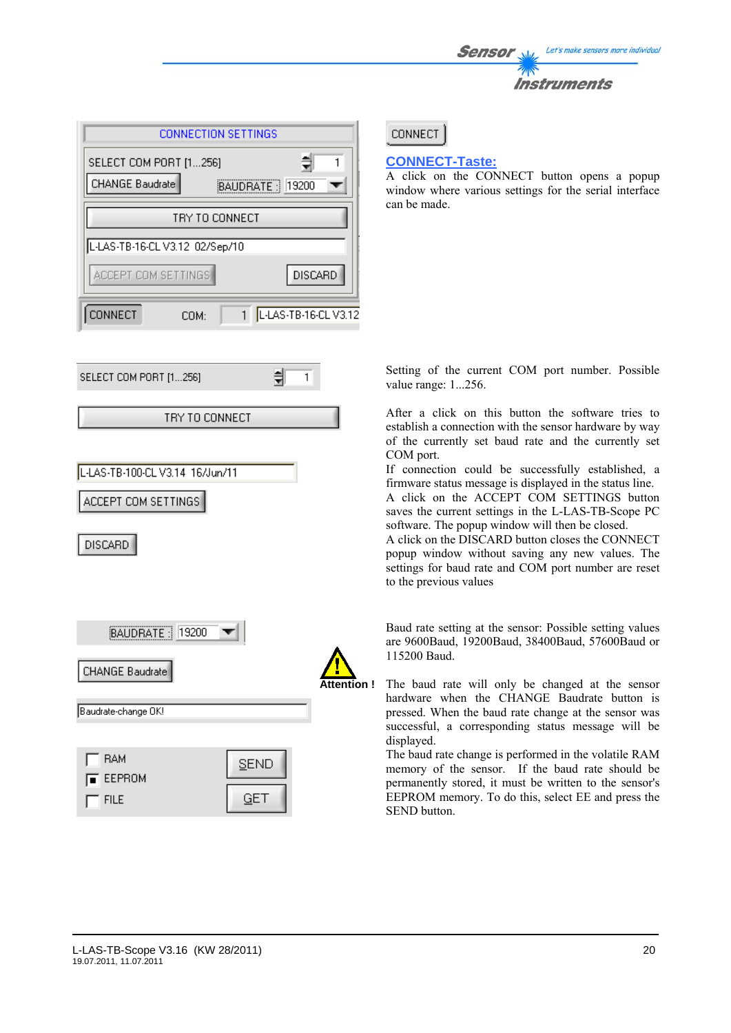| <b>Sensor</b> | Let's make sensors more individual |
|---------------|------------------------------------|
| <b>TANY</b>   |                                    |
|               | <b>Instruments</b>                 |

|                                                        | <b>CONNECTION SETTINGS</b> |                  |                      |
|--------------------------------------------------------|----------------------------|------------------|----------------------|
| SELECT COM PORT [1256]                                 |                            |                  | 制<br>1               |
| <b>CHANGE Baudrate</b>                                 |                            | BAUDRATE   19200 |                      |
|                                                        | TRY TO CONNECT             |                  |                      |
| L-LAS-TB-16-CL V3.12 02/Sep/10                         |                            |                  |                      |
| ACCEPT COM SETTINGS                                    |                            |                  | <b>DISCARD</b>       |
| CONNECT                                                | COM:                       | 1 <sup>1</sup>   | L-LAS-TB-16-CL V3.12 |
| SELECT COM PORT [1256]                                 |                            | 릒                | 1                    |
|                                                        | TRY TO CONNECT             |                  |                      |
| L-LAS-TB-100-CL V3.14 16/Jun/11<br>ACCEPT COM SETTINGS |                            |                  |                      |
| DISCARD<br>BAUDRATE   19200                            |                            |                  |                      |
| CHANGE Baudrate                                        |                            |                  | Attentio             |
| Baudrate-change OK!                                    |                            |                  |                      |



**CONNECT** 

# **CONNECT-Taste:**

A click on the CONNECT button opens a popup window where various settings for the serial interface can be made.

Setting of the current COM port number. Possible value range: 1...256.

After a click on this button the software tries to establish a connection with the sensor hardware by way of the currently set baud rate and the currently set COM port.

If connection could be successfully established, a firmware status message is displayed in the status line.

A click on the ACCEPT COM SETTINGS button saves the current settings in the L-LAS-TB-Scope PC software. The popup window will then be closed.

A click on the DISCARD button closes the CONNECT popup window without saving any new values. The settings for baud rate and COM port number are reset to the previous values

Baud rate setting at the sensor: Possible setting values are 9600Baud, 19200Baud, 38400Baud, 57600Baud or 115200 Baud.

**Attention !** The baud rate will only be changed at the sensor hardware when the CHANGE Baudrate button is pressed. When the baud rate change at the sensor was successful, a corresponding status message will be displayed.

> The baud rate change is performed in the volatile RAM memory of the sensor. If the baud rate should be permanently stored, it must be written to the sensor's EEPROM memory. To do this, select EE and press the SEND button.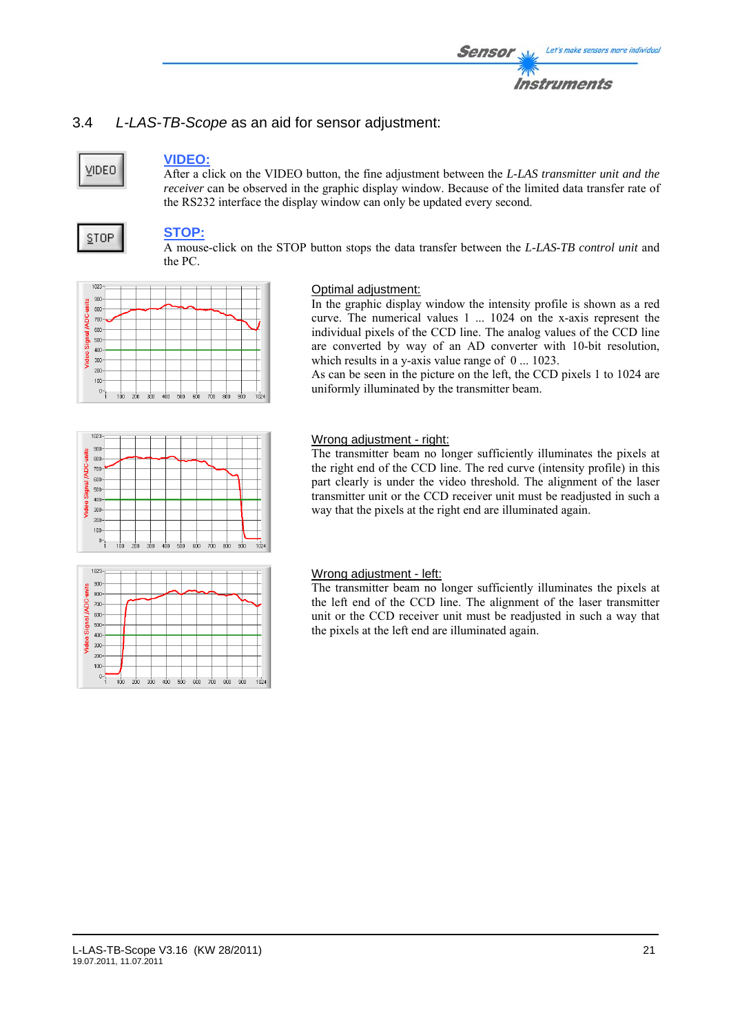# 3.4 *L-LAS-TB-Scope* as an aid for sensor adjustment:

# **VIDEO**

# **VIDEO:**

After a click on the VIDEO button, the fine adjustment between the *L-LAS transmitter unit and the receiver* can be observed in the graphic display window. Because of the limited data transfer rate of the RS232 interface the display window can only be updated every second.

# **STOP**

 $0 -$ 

# **STOP:**

A mouse-click on the STOP button stops the data transfer between the *L-LAS-TB control unit* and the PC.



# Optimal adjustment:

In the graphic display window the intensity profile is shown as a red curve. The numerical values 1 ... 1024 on the x-axis represent the individual pixels of the CCD line. The analog values of the CCD line are converted by way of an AD converter with 10-bit resolution, which results in a y-axis value range of  $0 \dots 1023$ .

As can be seen in the picture on the left, the CCD pixels 1 to 1024 are uniformly illuminated by the transmitter beam.



 $1024$ 

# Wrong adjustment - right:

The transmitter beam no longer sufficiently illuminates the pixels at the right end of the CCD line. The red curve (intensity profile) in this part clearly is under the video threshold. The alignment of the laser transmitter unit or the CCD receiver unit must be readjusted in such a way that the pixels at the right end are illuminated again.



 $500$ såo 700  $800$  $900$ 

 $300$ 

# Wrong adjustment - left:

The transmitter beam no longer sufficiently illuminates the pixels at the left end of the CCD line. The alignment of the laser transmitter unit or the CCD receiver unit must be readjusted in such a way that the pixels at the left end are illuminated again.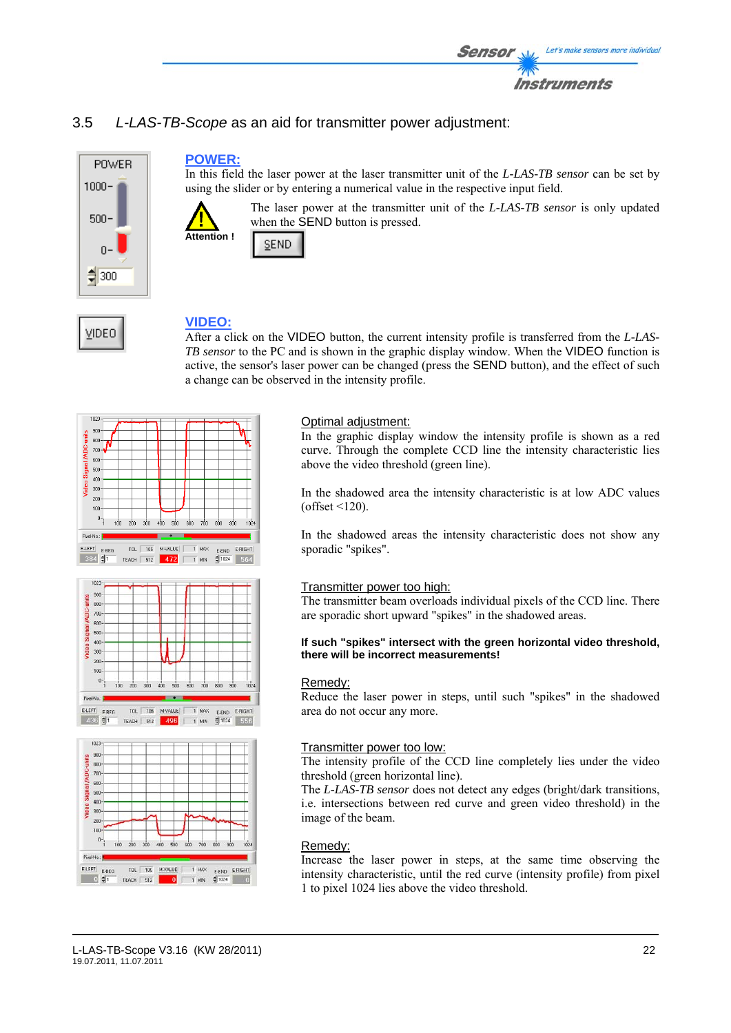

# 3.5 *L-LAS-TB-Scope* as an aid for transmitter power adjustment:



VIDEO

# **POWER:**

In this field the laser power at the laser transmitter unit of the *L-LAS-TB sensor* can be set by using the slider or by entering a numerical value in the respective input field.



The laser power at the transmitter unit of the *L-LAS-TB sensor* is only updated when the SEND button is pressed.



# **VIDEO:**

After a click on the VIDEO button, the current intensity profile is transferred from the *L-LAS-TB sensor* to the PC and is shown in the graphic display window. When the VIDEO function is active, the sensor's laser power can be changed (press the SEND button), and the effect of such a change can be observed in the intensity profile.







# Optimal adjustment:

In the graphic display window the intensity profile is shown as a red curve. Through the complete CCD line the intensity characteristic lies above the video threshold (green line).

In the shadowed area the intensity characteristic is at low ADC values  $(offset < 120)$ .

In the shadowed areas the intensity characteristic does not show any sporadic "spikes".

# Transmitter power too high:

The transmitter beam overloads individual pixels of the CCD line. There are sporadic short upward "spikes" in the shadowed areas.

#### **If such "spikes" intersect with the green horizontal video threshold, there will be incorrect measurements!**

#### Remedy:

Reduce the laser power in steps, until such "spikes" in the shadowed area do not occur any more.

#### Transmitter power too low:

The intensity profile of the CCD line completely lies under the video threshold (green horizontal line).

The *L-LAS-TB sensor* does not detect any edges (bright/dark transitions, i.e. intersections between red curve and green video threshold) in the image of the beam.

#### Remedy:

Increase the laser power in steps, at the same time observing the intensity characteristic, until the red curve (intensity profile) from pixel 1 to pixel 1024 lies above the video threshold.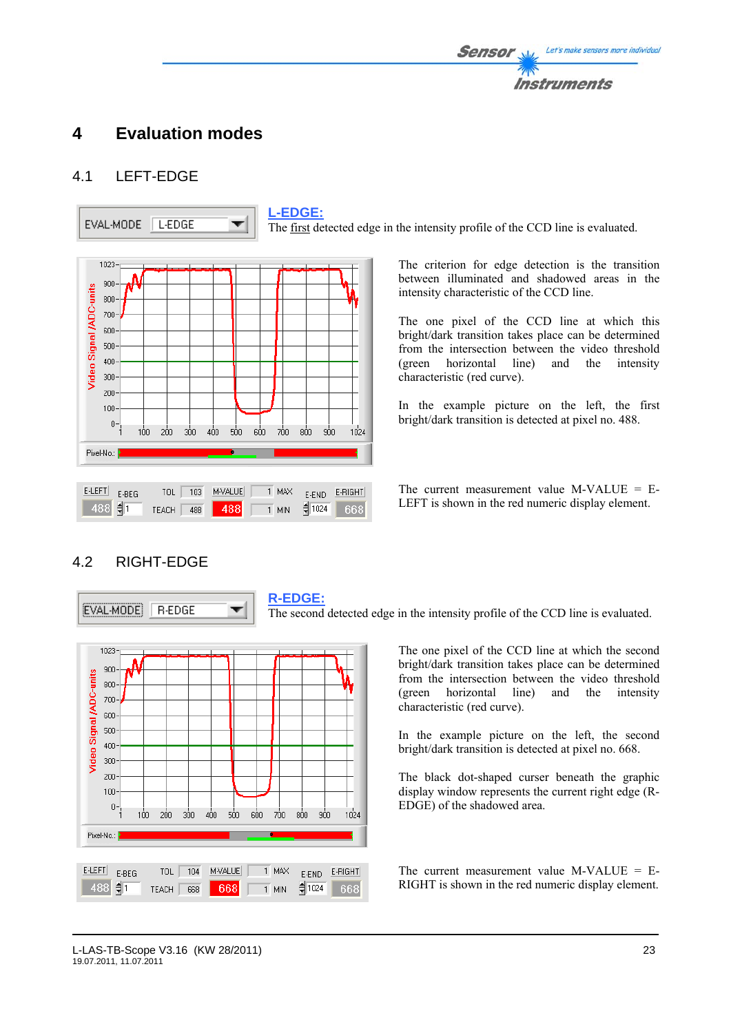# **4 Evaluation modes**

# 4.1 LEFT-EDGE



The first detected edge in the intensity profile of the CCD line is evaluated.

The criterion for edge detection is the transition between illuminated and shadowed areas in the intensity characteristic of the CCD line.

The one pixel of the CCD line at which this bright/dark transition takes place can be determined from the intersection between the video threshold (green horizontal line) and the intensity characteristic (red curve).

In the example picture on the left, the first bright/dark transition is detected at pixel no. 488.

The current measurement value M-VALUE  $=$  E-LEFT is shown in the red numeric display element.

# 4.2 RIGHT-EDGE

EVAL-MODE **R-EDGE**  **R-EDGE:**

The second detected edge in the intensity profile of the CCD line is evaluated.



▼

The one pixel of the CCD line at which the second bright/dark transition takes place can be determined from the intersection between the video threshold (green horizontal line) and the intensity characteristic (red curve).

In the example picture on the left, the second bright/dark transition is detected at pixel no. 668.

The black dot-shaped curser beneath the graphic display window represents the current right edge (R-EDGE) of the shadowed area.

The current measurement value  $M-VALUE = E-$ RIGHT is shown in the red numeric display element.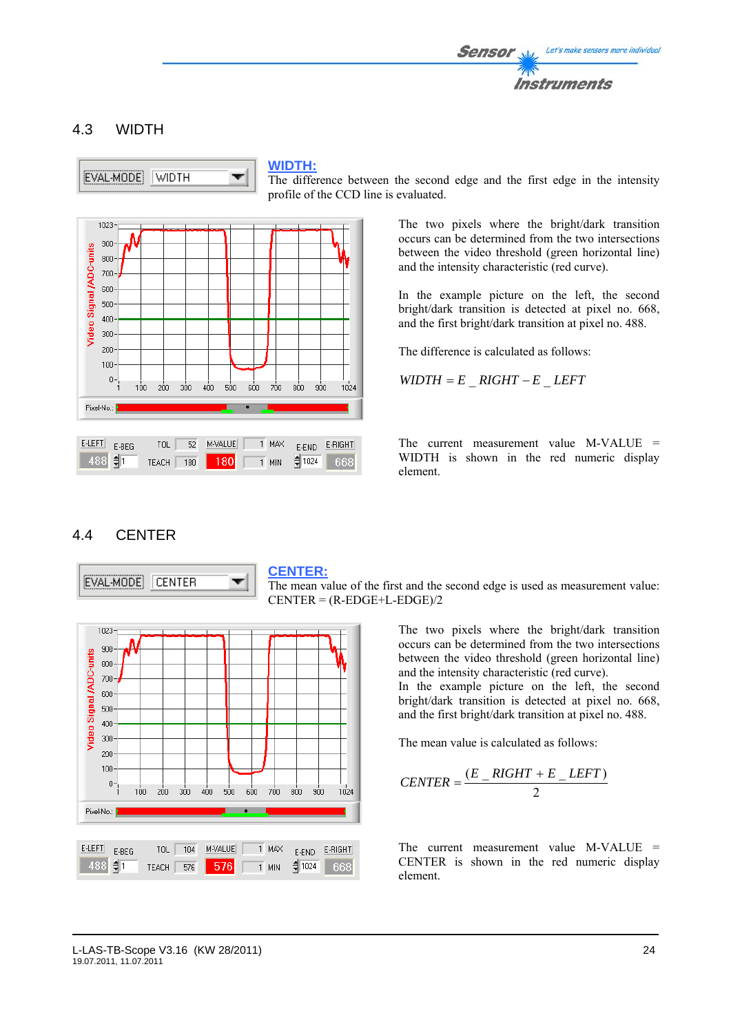

# 4.3 WIDTH



### **WIDTH:**

The difference between the second edge and the first edge in the intensity profile of the CCD line is evaluated.



The two pixels where the bright/dark transition occurs can be determined from the two intersections between the video threshold (green horizontal line) and the intensity characteristic (red curve).

In the example picture on the left, the second bright/dark transition is detected at pixel no. 668, and the first bright/dark transition at pixel no. 488.

The difference is calculated as follows:

 $WIDTH = E$   $RIGHT - E$   $LEFT$ 

The current measurement value M-VALUE = WIDTH is shown in the red numeric display element.

# 4.4 CENTER



#### **CENTER:**

The mean value of the first and the second edge is used as measurement value:  $CENTER = (R-EDGE+L-EDGE)/2$ 

> The two pixels where the bright/dark transition occurs can be determined from the two intersections between the video threshold (green horizontal line) and the intensity characteristic (red curve).

> In the example picture on the left, the second bright/dark transition is detected at pixel no. 668, and the first bright/dark transition at pixel no. 488.

The mean value is calculated as follows:

$$
CENTER = \frac{(E_RIGHT + E_LLEFT)}{2}
$$

The current measurement value M-VALUE = CENTER is shown in the red numeric display element.

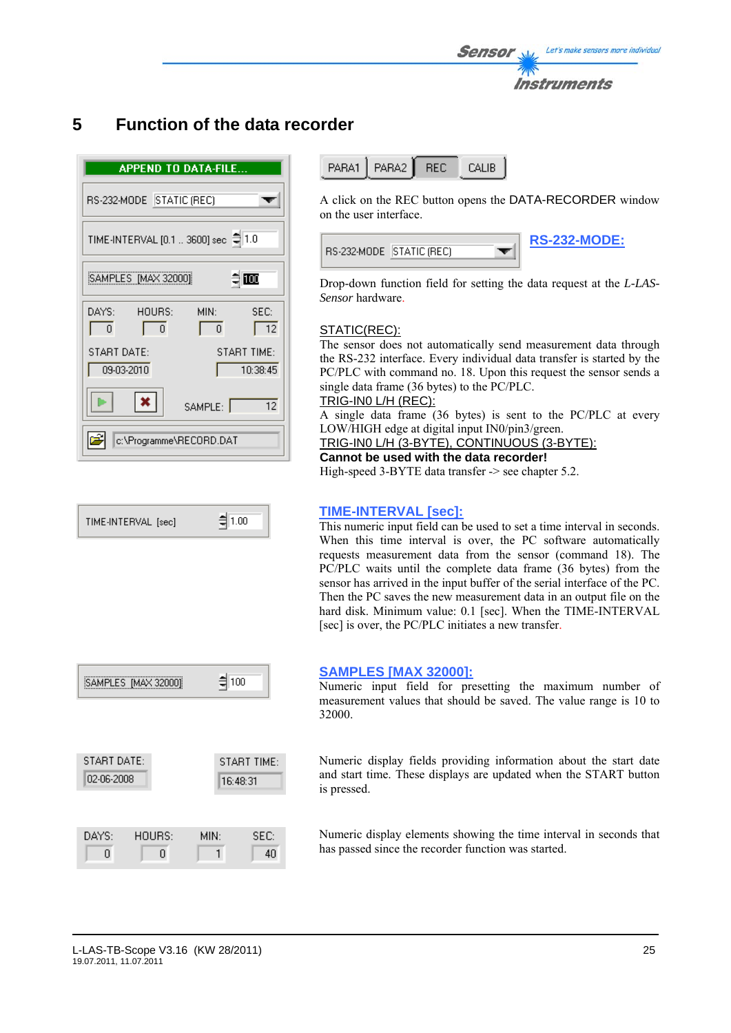

# **5 Function of the data recorder**

| <b>APPEND TO DATA-FILE</b>          |                                             |  |  |  |  |  |
|-------------------------------------|---------------------------------------------|--|--|--|--|--|
| RS-232-MODE STATIC (REC)            |                                             |  |  |  |  |  |
| TIME-INTERVAL [0.1  3600] sec @ 1.0 |                                             |  |  |  |  |  |
| SAMPLES [MAX 32000]                 | ≑ ∏00                                       |  |  |  |  |  |
| DAYS:<br>HOURS:<br>$\Omega$<br>Ū.   | MIN:<br>SEC:<br>$\overline{12}$<br>$\Omega$ |  |  |  |  |  |
| START DATE:<br>09-03-2010           | START TIME:<br>10:38:45                     |  |  |  |  |  |
| $\boldsymbol{\mathsf{x}}$           | 12<br>SAMPLE:                               |  |  |  |  |  |
| c:\Programme\RECORD.DAT             |                                             |  |  |  |  |  |

$$
TIME\text{-}INTERVAL \text{ [sec]} \qquad \qquad \frac{1}{2} \boxed{1.00}
$$



PARA1 PARA2 **REC** CALIB

A click on the REC button opens the DATA-RECORDER window on the user interface.

| , RS-232-MODE     STATIC (REC) |  | <b>RS-232-MODE:</b> |
|--------------------------------|--|---------------------|
|--------------------------------|--|---------------------|

Drop-down function field for setting the data request at the *L-LAS-Sensor* hardware.

# STATIC(REC):

The sensor does not automatically send measurement data through the RS-232 interface. Every individual data transfer is started by the PC/PLC with command no. 18. Upon this request the sensor sends a single data frame (36 bytes) to the PC/PLC.

# TRIG-IN0 L/H (REC):

A single data frame (36 bytes) is sent to the PC/PLC at every LOW/HIGH edge at digital input IN0/pin3/green.

# TRIG-IN0 L/H (3-BYTE), CONTINUOUS (3-BYTE):

**Cannot be used with the data recorder!** 

High-speed 3-BYTE data transfer -> see chapter 5.2.

# **TIME-INTERVAL [sec]:**

This numeric input field can be used to set a time interval in seconds. When this time interval is over, the PC software automatically requests measurement data from the sensor (command 18). The PC/PLC waits until the complete data frame (36 bytes) from the sensor has arrived in the input buffer of the serial interface of the PC. Then the PC saves the new measurement data in an output file on the hard disk. Minimum value: 0.1 [sec]. When the TIME-INTERVAL [sec] is over, the PC/PLC initiates a new transfer.

# **SAMPLES [MAX 32000]:**

Numeric input field for presetting the maximum number of measurement values that should be saved. The value range is 10 to 32000.

Numeric display fields providing information about the start date and start time. These displays are updated when the START button is pressed.

Numeric display elements showing the time interval in seconds that has passed since the recorder function was started.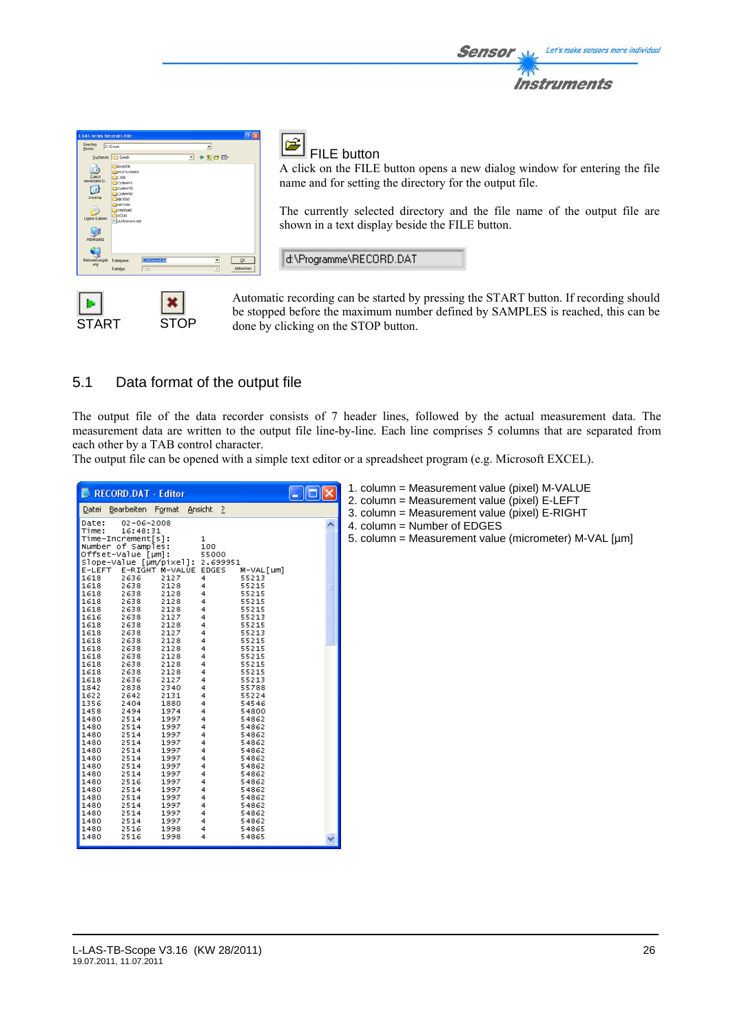

START STOP

# FILE button

A click on the FILE button opens a new dialog window for entering the file name and for setting the directory for the output file.

Sensol

Let's make sensors more individual

Instruments

The currently selected directory and the file name of the output file are shown in a text display beside the FILE button.

d:\Programme\RECORD.DAT

Automatic recording can be started by pressing the START button. If recording should be stopped before the maximum number defined by SAMPLES is reached, this can be done by clicking on the STOP button.

# 5.1 Data format of the output file

The output file of the data recorder consists of 7 header lines, followed by the actual measurement data. The measurement data are written to the output file line-by-line. Each line comprises 5 columns that are separated from each other by a TAB control character.

The output file can be opened with a simple text editor or a spreadsheet program (e.g. Microsoft EXCEL).

| RECORD.DAT - Editor<br>$ \ \Box\ $<br>Bearbeiten Format Ansicht ?<br>Datei                                                                                                                                                                                                                                                                                                                                                                                                                                                                                                                                                                                                                                                                                                                                                                                                                                                                                                                                                                                                                                                                                                                                                                                                                                                                                                                                  | 1. column = Measurement value (pixel) M-VALUE<br>2. column = Measurement value (pixel) E-LEFT<br>3. column = Measurement value (pixel) E-RIGHT |
|-------------------------------------------------------------------------------------------------------------------------------------------------------------------------------------------------------------------------------------------------------------------------------------------------------------------------------------------------------------------------------------------------------------------------------------------------------------------------------------------------------------------------------------------------------------------------------------------------------------------------------------------------------------------------------------------------------------------------------------------------------------------------------------------------------------------------------------------------------------------------------------------------------------------------------------------------------------------------------------------------------------------------------------------------------------------------------------------------------------------------------------------------------------------------------------------------------------------------------------------------------------------------------------------------------------------------------------------------------------------------------------------------------------|------------------------------------------------------------------------------------------------------------------------------------------------|
| $02 - 06 - 2008$<br>Date:<br>۸<br>Time:<br>16:48:31<br>Time-Increment[s]:<br>1<br>Number of Samples:<br>100<br>Offset-Value [µm]:<br>55000<br>Slope-Value [µm/pixel]: 2.699951<br>E-RIGHT M-VALUE EDGES<br>E-LEFT<br>M-VAL [um]<br>1618<br>2636<br>2127<br>55213<br>4<br>1618<br>2638<br>2128<br>55215<br>4<br>1618<br>2638<br>2128<br>55215<br>1618<br>55215<br>2638<br>2128<br>1618<br>2638<br>2128<br>55215<br>1616<br>2127<br>55213<br>2638<br>1618<br>2128<br>55215<br>2638<br>1618<br>2127<br>2638<br>55213<br>1618<br>55215<br>2638<br>2128<br>1618<br>2638<br>2128<br>55215<br>1618<br>2638<br>2128<br>55215<br>1618<br>2638<br>2128<br>55215<br>1618<br>55215<br>2638<br>2128<br>1618<br>2636<br>2127<br>55213<br>1842<br>2838<br>2340<br>55788<br>1622<br>2642<br>2131<br>55224<br>1356<br>2404<br>1880<br>54546<br>1458<br>2494<br>1974<br>54800<br>1480<br>2514<br>1997<br>54862<br>1480<br>2514<br>1997<br>54862<br>1480<br>2514<br>1997<br>54862<br>1480<br>2514<br>1997<br>54862<br>1480<br>2514<br>1997<br>54862<br>1480<br>2514<br>1997<br>54862<br>1480<br>1997<br>2514<br>54862<br>1480<br>2514<br>1997<br>54862<br>1480<br>2516<br>1997<br>54862<br>1480<br>2514<br>1997<br>54862<br>1480<br>2514<br>1997<br>54862<br>2514<br>1480<br>1997<br>54862<br>1480<br>2514<br>1997<br>54862<br>1480<br>2514<br>1997<br>54862<br>1480<br>2516<br>1998<br>54865<br>1480<br>2516<br>1998<br>54865 | 4. column = Number of EDGES<br>5. column = Measurement value (micrometer) M-VAL [µm]                                                           |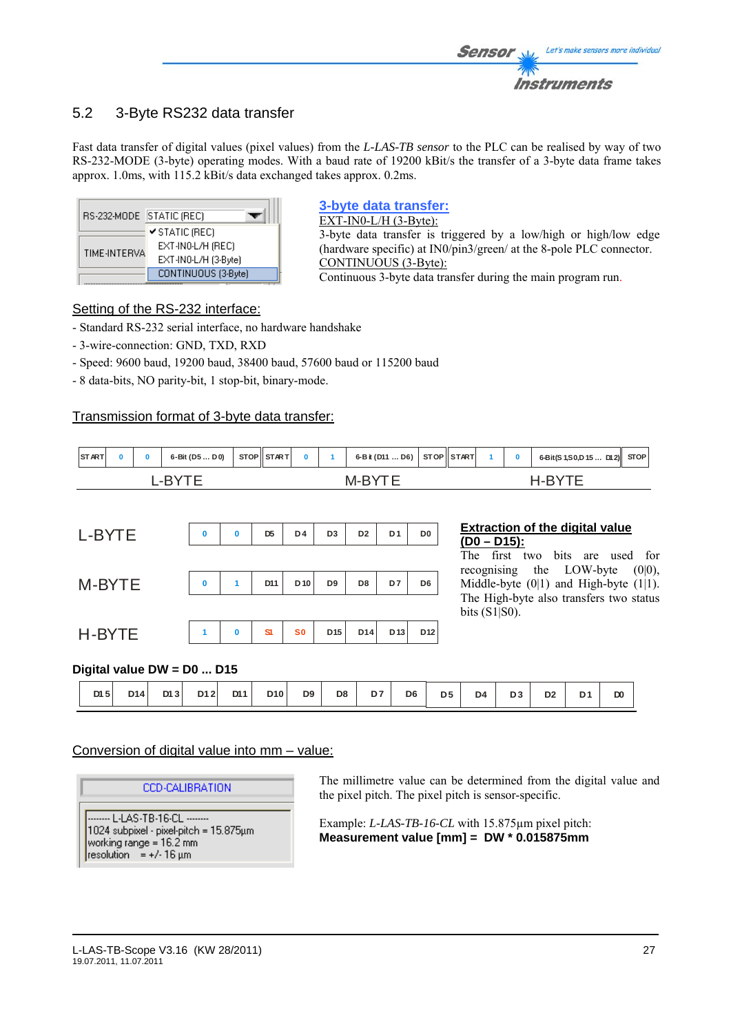# 5.2 3-Byte RS232 data transfer

Fast data transfer of digital values (pixel values) from the *L-LAS-TB sensor* to the PLC can be realised by way of two RS-232-MODE (3-byte) operating modes. With a baud rate of 19200 kBit/s the transfer of a 3-byte data frame takes approx. 1.0ms, with 115.2 kBit/s data exchanged takes approx. 0.2ms.

| RS-232-MODE STATIC (REC) |                      |
|--------------------------|----------------------|
|                          | ✔ STATIC (REC)       |
|                          | EXT-IN0-L/H (REC)    |
| TIME-INTERVA             | EXT-IN0-L/H (3-Byte) |
|                          | CONTINUOUS (3-Byte)  |

# **3-byte data transfer:**

EXT-IN0-L/H (3-Byte): 3-byte data transfer is triggered by a low/high or high/low edge (hardware specific) at IN0/pin3/green/ at the 8-pole PLC connector. CONTINUOUS (3-Byte): Continuous 3-byte data transfer during the main program run.

# Setting of the RS-232 interface:

- Standard RS-232 serial interface, no hardware handshake

- 3-wire-connection: GND, TXD, RXD
- Speed: 9600 baud, 19200 baud, 38400 baud, 57600 baud or 115200 baud
- 8 data-bits, NO parity-bit, 1 stop-bit, binary-mode.

# Transmission format of 3-byte data transfer:

| START |  | 6-Bit (D5D0) | STOP STAR T |  | 6-B it (D11  D6) STOP START |  |  | 6-Bit(S 1, S 0, D 15  D12) STOP |  |
|-------|--|--------------|-------------|--|-----------------------------|--|--|---------------------------------|--|
|       |  |              |             |  |                             |  |  |                                 |  |

| L-BYTE | $\bf{0}$ | $\bf{0}$     | D <sub>5</sub> | D4           | D <sub>3</sub> | D <sub>2</sub> | D <sub>1</sub> | D <sub>0</sub> |
|--------|----------|--------------|----------------|--------------|----------------|----------------|----------------|----------------|
| M-BYTE | $\bf{0}$ | 1            | D11            | $D$ 10       | D9             | D8             | D7             | D <sub>6</sub> |
|        |          |              |                |              |                |                |                |                |
| H-BYTE | 1        | $\mathbf{0}$ | S1             | $\mathbf{S}$ | D15            | D14            | $D$ 13         | D12            |

#### **Extraction of the digital value (D0 – D15):**

The first two bits are used for recognising the LOW-byte (0|0), Middle-byte  $(0|1)$  and High-byte  $(1|1)$ . The High-byte also transfers two status bits (S1|S0).

# **Digital value DW = D0 ... D15**

| DI <sub>5</sub> | D14 | D13 | D12 | D11 | D <sub>10</sub> | D <sub>9</sub> | D <sub>8</sub> | D7 | D <sub>6</sub> | D <sub>5</sub> | D <sub>4</sub> | D <sub>3</sub> | D <sub>2</sub> | D <sub>1</sub> | D <sub>0</sub> |
|-----------------|-----|-----|-----|-----|-----------------|----------------|----------------|----|----------------|----------------|----------------|----------------|----------------|----------------|----------------|
|                 |     |     |     |     |                 |                |                |    |                |                |                |                |                |                |                |
|                 |     |     |     |     |                 |                |                |    |                |                |                |                |                |                |                |

# Conversion of digital value into mm – value:

**CCD-CALIBRATION** 

-------- L-LAS-TB-16-CL --------1024 subpixel - pixel-pitch = 15.875µm working range = 16.2 mm resolution = +/-16  $\mu$ m

The millimetre value can be determined from the digital value and the pixel pitch. The pixel pitch is sensor-specific.

Example: *L-LAS-TB-16-CL* with 15.875µm pixel pitch: **Measurement value [mm] = DW \* 0.015875mm**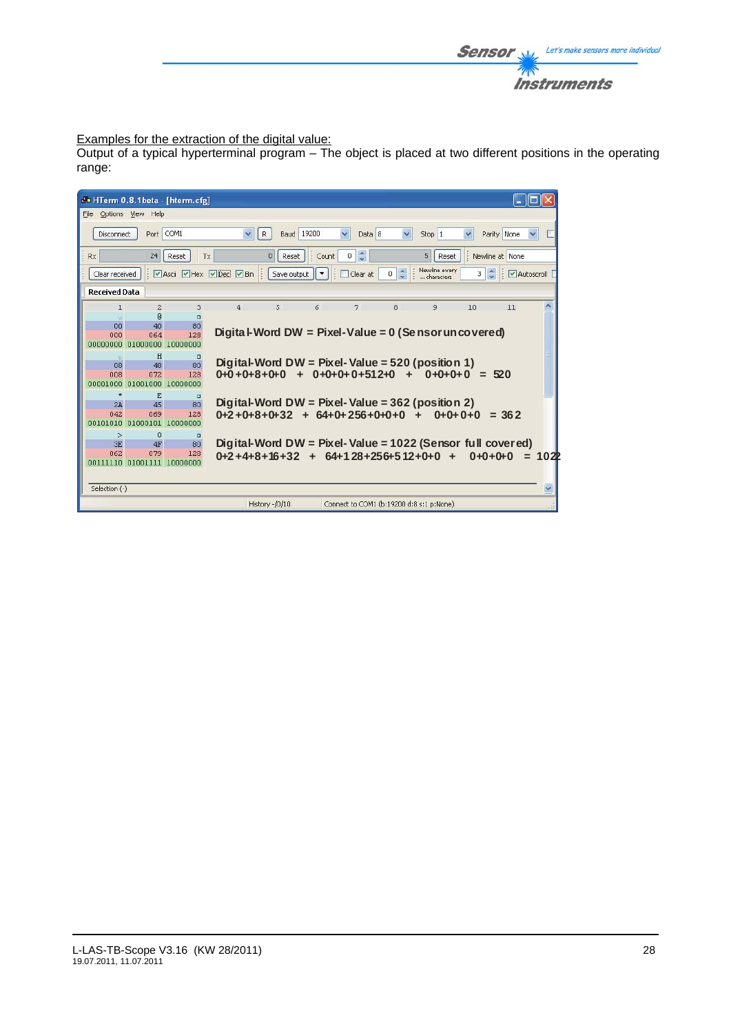

# Examples for the extraction of the digital value:

Output of a typical hyperterminal program – The object is placed at two different positions in the operating range:

| do HTerm 0.8.1beta - [hterm.cfg]                                                                                                               |                                                                                                                                                                                          |          |                |                |   |                                                            |   |   |           |         |          |
|------------------------------------------------------------------------------------------------------------------------------------------------|------------------------------------------------------------------------------------------------------------------------------------------------------------------------------------------|----------|----------------|----------------|---|------------------------------------------------------------|---|---|-----------|---------|----------|
| File Options View Help                                                                                                                         |                                                                                                                                                                                          |          |                |                |   |                                                            |   |   |           |         |          |
| $\checkmark$<br>$\checkmark$<br>COM1<br>$\checkmark$<br><b>Baud</b> 19200<br>Data 8<br>Parity None<br>R<br>Stop 1<br><b>Disconnect</b><br>Port |                                                                                                                                                                                          |          |                |                |   |                                                            |   |   |           |         |          |
| $0 \leq$<br>5<br>$\mathbf{0}$<br>Newline at None<br>Rx<br>24<br>Reset<br>: Count<br>Reset<br>Reset<br><b>T</b> x                               |                                                                                                                                                                                          |          |                |                |   |                                                            |   |   |           |         |          |
|                                                                                                                                                | Newline every<br>$\ddot{\ddot{\ }}$<br>Ascii Hex Dec DBin :<br>$\overline{0}$<br>3<br>Save output $\ \star\ $<br>$\frac{1}{2}$<br>Clear at<br>Clear received<br>Autoscroll<br>characters |          |                |                |   |                                                            |   |   |           |         |          |
| <b>Received Data</b>                                                                                                                           |                                                                                                                                                                                          |          |                |                |   |                                                            |   |   |           |         |          |
| 1                                                                                                                                              | $\overline{c}$                                                                                                                                                                           | 3        | $\overline{a}$ | 5              | 6 | 7                                                          | 8 | 9 | 10        | 11      |          |
|                                                                                                                                                | $\mathbb{R}$                                                                                                                                                                             | $\Box$   |                |                |   |                                                            |   |   |           |         |          |
| 00                                                                                                                                             | 40                                                                                                                                                                                       | 80       |                |                |   |                                                            |   |   |           |         |          |
| 000                                                                                                                                            | 064                                                                                                                                                                                      | 128      |                |                |   | Digita I-Word DW = Pixel-Value = $0$ (Se nsor uncovered)   |   |   |           |         |          |
| annonana alananan                                                                                                                              |                                                                                                                                                                                          | 10000000 |                |                |   |                                                            |   |   |           |         |          |
|                                                                                                                                                | H                                                                                                                                                                                        | $\Box$   |                |                |   |                                                            |   |   |           |         |          |
| 08                                                                                                                                             | 48                                                                                                                                                                                       | 80       |                |                |   | Digital-Word DW = Pixel-Value = $520$ (position 1)         |   |   |           |         |          |
| 008                                                                                                                                            | 072                                                                                                                                                                                      | 128      |                |                |   | $0+0+8+0+0$ + $0+0+0+0+512+0$ + $0+0+0+0$ = 520            |   |   |           |         |          |
| 00001000                                                                                                                                       | 01001000                                                                                                                                                                                 | 10000000 |                |                |   |                                                            |   |   |           |         |          |
| $\star$                                                                                                                                        | F.                                                                                                                                                                                       | $\Box$   |                |                |   |                                                            |   |   |           |         |          |
| 2A                                                                                                                                             | 45                                                                                                                                                                                       | 80       |                |                |   | Digital-Word DW = Pixel-Value = $362$ (position 2)         |   |   |           |         |          |
| 042                                                                                                                                            | 069                                                                                                                                                                                      | 128      |                |                |   | $0+2+0+8+0+32 + 64+0+256+0+0+0 +$                          |   |   | $0+0+0+0$ | $= 362$ |          |
| 00101010 01000101                                                                                                                              |                                                                                                                                                                                          | 10000000 |                |                |   |                                                            |   |   |           |         |          |
| $\geq$                                                                                                                                         | $\mathbf 0$                                                                                                                                                                              | $\Box$   |                |                |   |                                                            |   |   |           |         |          |
| 3E                                                                                                                                             | 4F                                                                                                                                                                                       | 80       |                |                |   | Digital-Word DW = Pixel-Value = 1022 (Sensor full covered) |   |   |           |         |          |
| 062                                                                                                                                            | 079                                                                                                                                                                                      | 128      |                |                |   | $0+2+4+8+16+32 + 64+128+256+512+0+0 +$                     |   |   | $0+0+0+0$ |         | $= 102P$ |
| 00111110 01001111 10000000                                                                                                                     |                                                                                                                                                                                          |          |                |                |   |                                                            |   |   |           |         |          |
|                                                                                                                                                |                                                                                                                                                                                          |          |                |                |   |                                                            |   |   |           |         |          |
| Selection (-)                                                                                                                                  |                                                                                                                                                                                          |          |                |                |   |                                                            |   |   |           |         |          |
|                                                                                                                                                |                                                                                                                                                                                          |          |                | History -/0/10 |   | Connect to COM1 (b:19200 d:8 s:1 p:None)                   |   |   |           |         |          |
|                                                                                                                                                |                                                                                                                                                                                          |          |                |                |   |                                                            |   |   |           |         |          |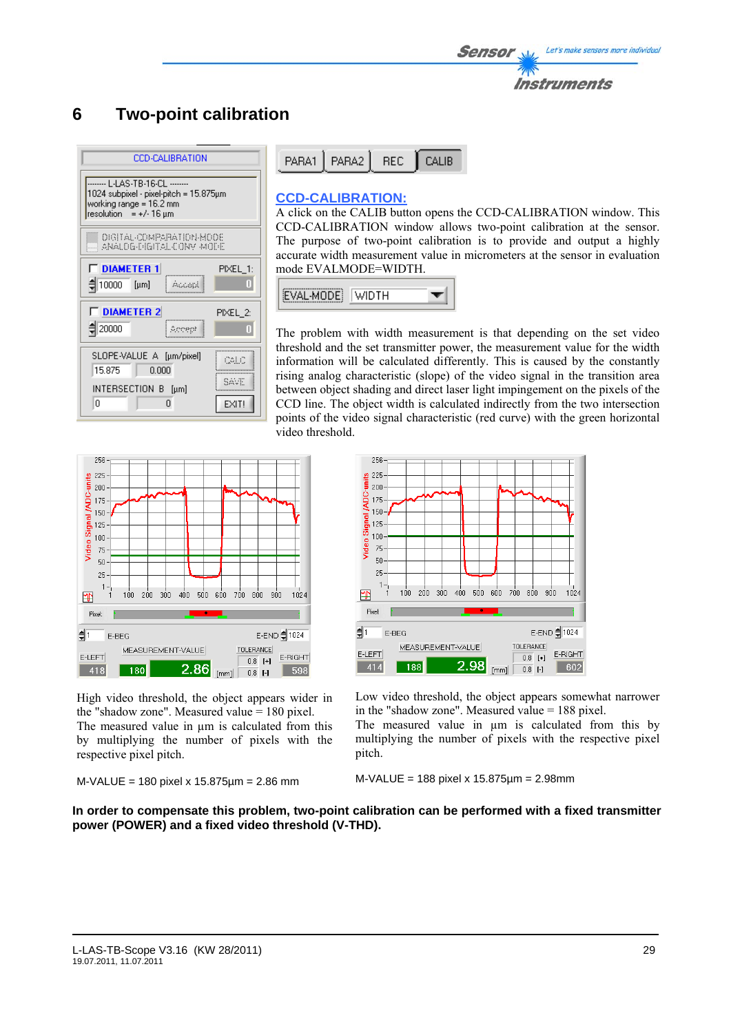# **6 Two-point calibration**

| CCD-CALIBRATION                                                                                 |                                                             |  |  |  |  |  |  |  |  |
|-------------------------------------------------------------------------------------------------|-------------------------------------------------------------|--|--|--|--|--|--|--|--|
| 1024 subpixel - pixel-pitch = 15.875μm<br>working range = 16.2 mm<br>$resolution = +/-16 \mu m$ |                                                             |  |  |  |  |  |  |  |  |
|                                                                                                 | <b>DIGITAL-COMPARATION-MODE</b><br>ANALOG-PIGITAL CONV MODE |  |  |  |  |  |  |  |  |
| <b>FIDIAMETER 1</b><br>PIXEL_1:<br>10000<br>Π<br>$[\mu m]$<br>Account                           |                                                             |  |  |  |  |  |  |  |  |
| <b>F</b> DIAMETER 2<br>$\xi$ 20000                                                              | PIXEL 2:<br>Т                                               |  |  |  |  |  |  |  |  |
| SLOPE-VALUE A [µm/pixel]<br>CALC<br>15.875<br>0.000                                             |                                                             |  |  |  |  |  |  |  |  |
| INTERSECTION B [µm]<br>Ω<br>n                                                                   | SAVE<br>EXIT!                                               |  |  |  |  |  |  |  |  |

| PARA1   PARA2   REC   CALIB |  |
|-----------------------------|--|
|                             |  |

# **CCD-CALIBRATION:**

A click on the CALIB button opens the CCD-CALIBRATION window. This CCD-CALIBRATION window allows two-point calibration at the sensor. The purpose of two-point calibration is to provide and output a highly accurate width measurement value in micrometers at the sensor in evaluation mode EVALMODE=WIDTH.



The problem with width measurement is that depending on the set video threshold and the set transmitter power, the measurement value for the width information will be calculated differently. This is caused by the constantly rising analog characteristic (slope) of the video signal in the transition area between object shading and direct laser light impingement on the pixels of the CCD line. The object width is calculated indirectly from the two intersection points of the video signal characteristic (red curve) with the green horizontal video threshold.



High video threshold, the object appears wider in the "shadow zone". Measured value = 180 pixel. The measured value in  $\mu$ m is calculated from this by multiplying the number of pixels with the respective pixel pitch.

```
M-VALUE = 180 pixel x 15.875µm = 2.86 mm
```


Low video threshold, the object appears somewhat narrower in the "shadow zone". Measured value = 188 pixel.

The measured value in  $\mu$ m is calculated from this by multiplying the number of pixels with the respective pixel pitch.

#### M-VALUE = 188 pixel x 15.875µm = 2.98mm

**In order to compensate this problem, two-point calibration can be performed with a fixed transmitter power (POWER) and a fixed video threshold (V-THD).**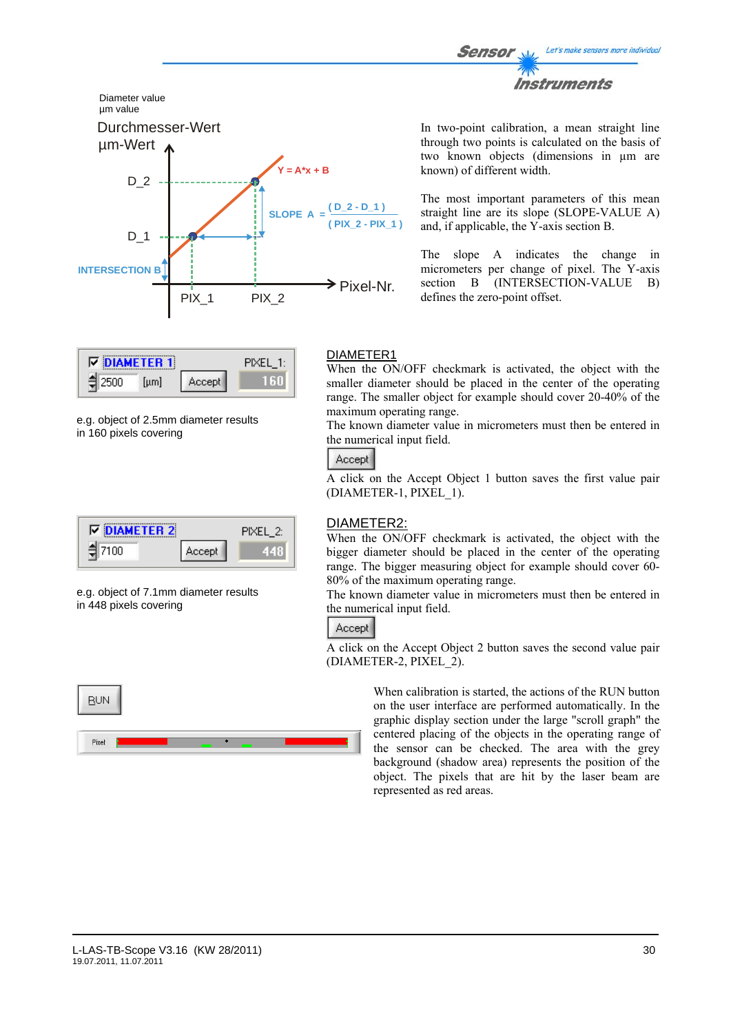



| ⊺⊽∃ | <b>IAMFTFR 1</b> |         |  |
|-----|------------------|---------|--|
|     | uml              | Accept. |  |

e.g. object of 2.5mm diameter results in 160 pixels covering

| <b>DIAMETER 2</b><br>⊽ |         | PIXEL 25 |
|------------------------|---------|----------|
| חחו                    | Accept. |          |

e.g. object of 7.1mm diameter results in 448 pixels covering



In two-point calibration, a mean straight line through two points is calculated on the basis of two known objects (dimensions in µm are known) of different width.

The most important parameters of this mean straight line are its slope (SLOPE-VALUE A) and, if applicable, the Y-axis section B.

The slope A indicates the change in micrometers per change of pixel. The Y-axis section B (INTERSECTION-VALUE B) defines the zero-point offset.

# DIAMETER1

When the ON/OFF checkmark is activated, the object with the smaller diameter should be placed in the center of the operating range. The smaller object for example should cover 20-40% of the maximum operating range.

The known diameter value in micrometers must then be entered in the numerical input field.

# Accept

A click on the Accept Object 1 button saves the first value pair (DIAMETER-1, PIXEL\_1).

# DIAMETER2:

When the ON/OFF checkmark is activated, the object with the bigger diameter should be placed in the center of the operating range. The bigger measuring object for example should cover 60- 80% of the maximum operating range.

The known diameter value in micrometers must then be entered in the numerical input field.

# Accept

A click on the Accept Object 2 button saves the second value pair (DIAMETER-2, PIXEL\_2).

> When calibration is started, the actions of the RUN button on the user interface are performed automatically. In the graphic display section under the large "scroll graph" the centered placing of the objects in the operating range of the sensor can be checked. The area with the grey background (shadow area) represents the position of the object. The pixels that are hit by the laser beam are represented as red areas.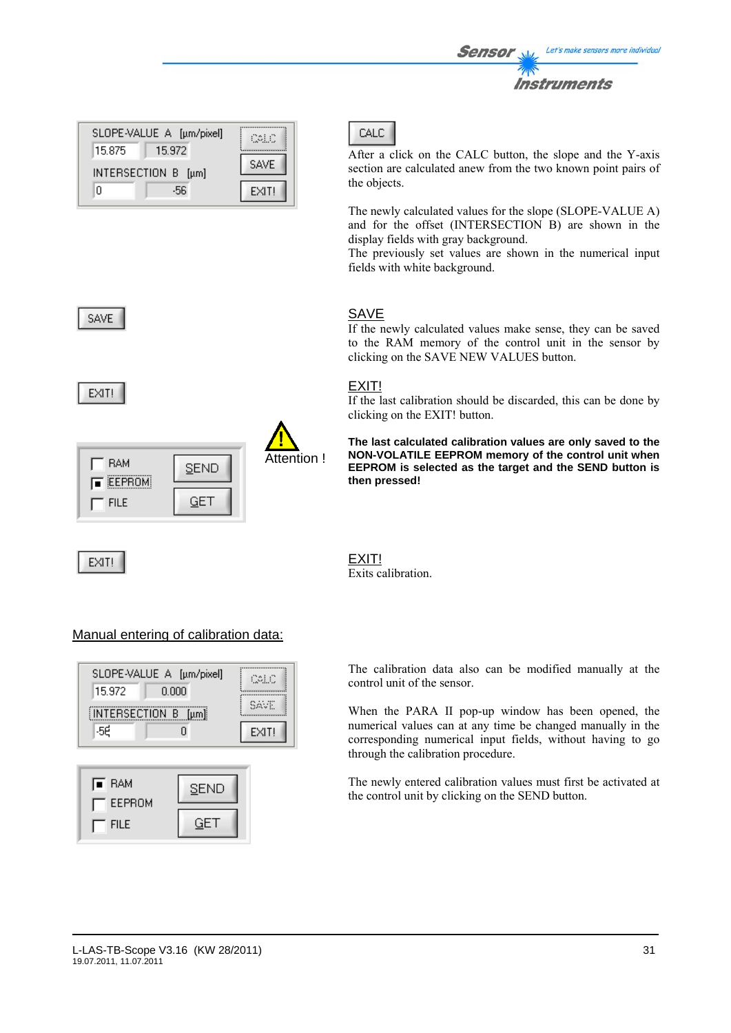|        | SLOPE-VALUE A [µm/pixel] | COLO        |
|--------|--------------------------|-------------|
| 15.875 | 15.972                   |             |
|        | INTERSECTION B [µm]      | <b>SAVE</b> |
| n      | -56                      | EXIT!       |



EXIT!

| <b>BAM</b><br><b>EEPROM</b> | <b>SEND</b> | Attention ! |
|-----------------------------|-------------|-------------|
| <b>FILE</b>                 |             |             |

EXIT!



After a click on the CALC button, the slope and the Y-axis section are calculated anew from the two known point pairs of the objects.

The newly calculated values for the slope (SLOPE-VALUE A) and for the offset (INTERSECTION B) are shown in the display fields with gray background.

The previously set values are shown in the numerical input fields with white background.

# SAVE

If the newly calculated values make sense, they can be saved to the RAM memory of the control unit in the sensor by clicking on the SAVE NEW VALUES button.

# EXIT!

If the last calibration should be discarded, this can be done by clicking on the EXIT! button.

**The last calculated calibration values are only saved to the NON-VOLATILE EEPROM memory of the control unit when EEPROM is selected as the target and the SEND button is then pressed!** 



# Manual entering of calibration data:



| <b>E</b> RAM<br>— EEPROM | SEND |
|--------------------------|------|
| <b>FILE</b>              | GH.  |

The calibration data also can be modified manually at the control unit of the sensor.

When the PARA II pop-up window has been opened, the numerical values can at any time be changed manually in the corresponding numerical input fields, without having to go through the calibration procedure.

The newly entered calibration values must first be activated at the control unit by clicking on the SEND button.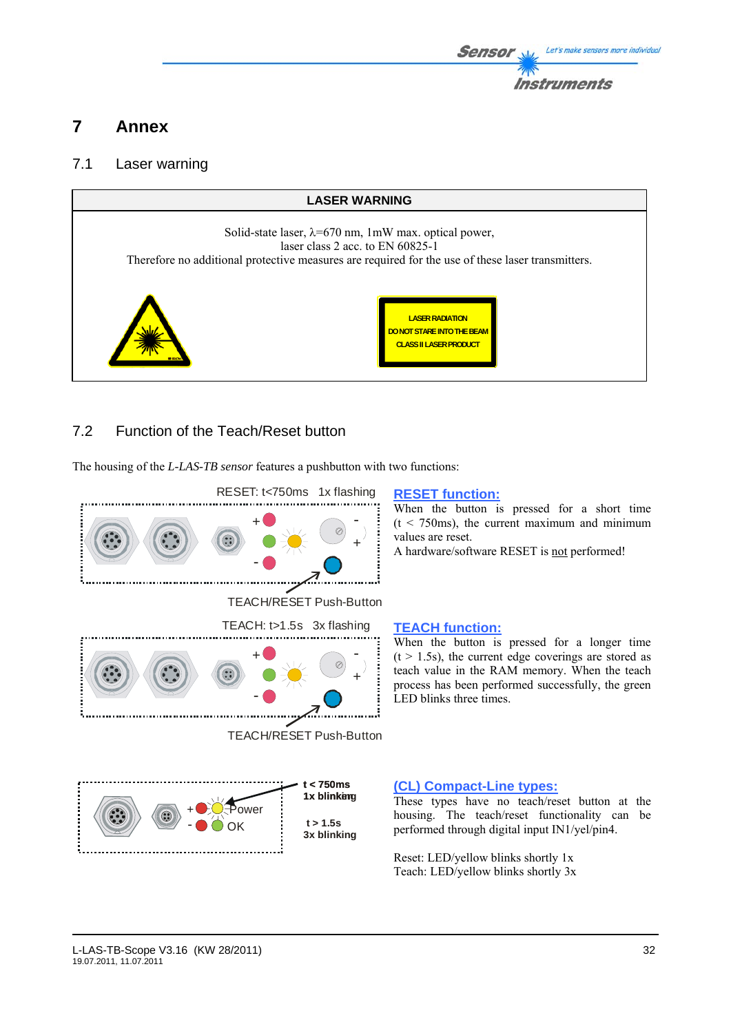

# **7 Annex**

# 7.1 Laser warning



# 7.2 Function of the Teach/Reset button

The housing of the *L-LAS-TB sensor* features a pushbutton with two functions:



OK

 **t > 1.5s 3x blinking**

When the button is pressed for a short time  $(t < 750 \text{ms})$ , the current maximum and minimum values are reset.

A hardware/software RESET is not performed!

When the button is pressed for a longer time  $(t > 1.5s)$ , the current edge coverings are stored as teach value in the RAM memory. When the teach process has been performed successfully, the green LED blinks three times.

# **(CL) Compact-Line types:**

These types have no teach/reset button at the housing. The teach/reset functionality can be performed through digital input IN1/yel/pin4.

Reset: LED/yellow blinks shortly 1x Teach: LED/yellow blinks shortly 3x

-

 $\widehat{\mathbf{C}}$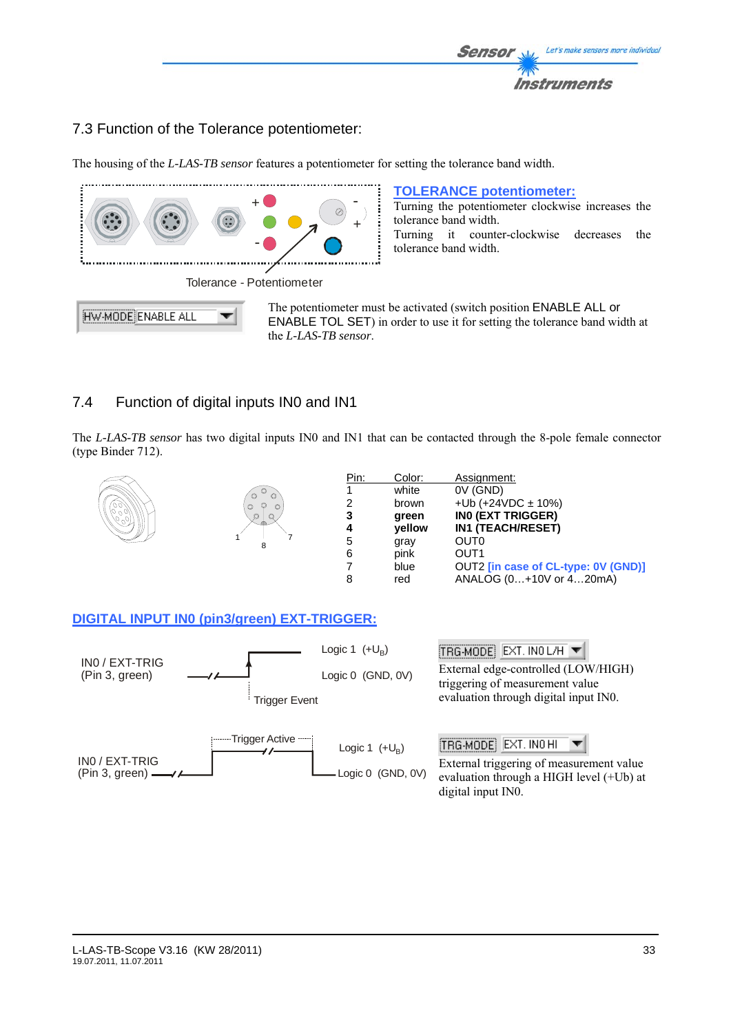

# 7.3 Function of the Tolerance potentiometer:

The housing of the *L-LAS-TB sensor* features a potentiometer for setting the tolerance band width.



# 7.4 Function of digital inputs IN0 and IN1

The *L-LAS-TB sensor* has two digital inputs IN0 and IN1 that can be contacted through the 8-pole female connector (type Binder 712).



# **DIGITAL INPUT IN0 (pin3/green) EXT-TRIGGER:**



#### L-LAS-TB-Scope V3.16 (KW 28/2011) 33 19.07.2011, 11.07.2011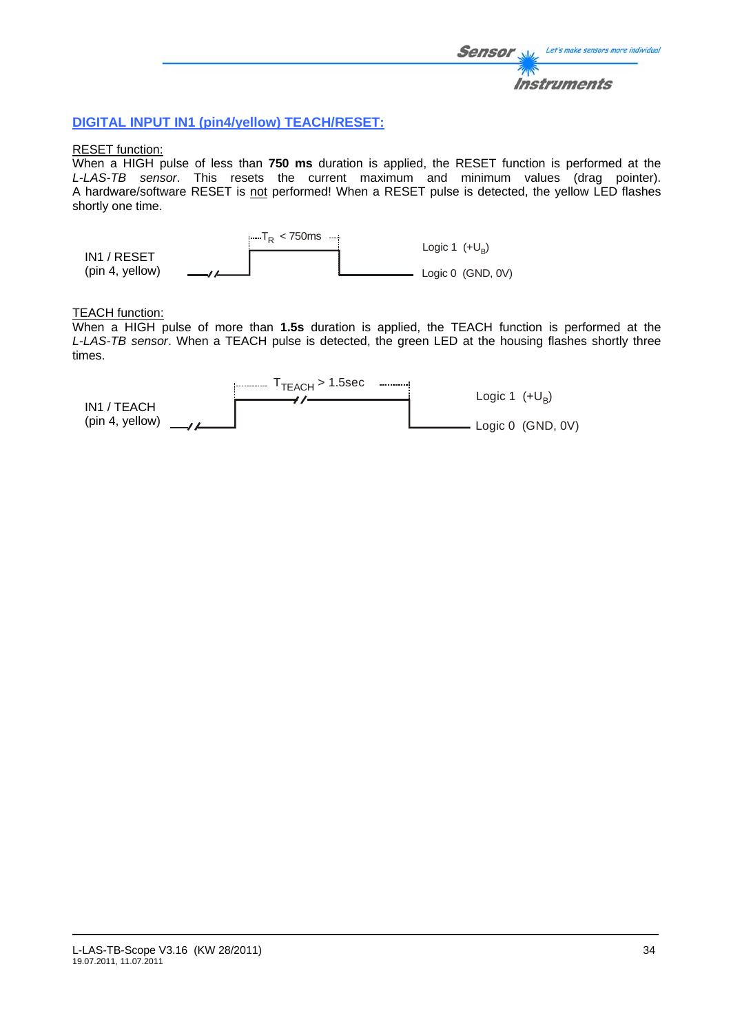# **DIGITAL INPUT IN1 (pin4/yellow) TEACH/RESET:**

#### RESET function:

When a HIGH pulse of less than **750 ms** duration is applied, the RESET function is performed at the *L-LAS-TB sensor*. This resets the current maximum and minimum values (drag pointer). A hardware/software RESET is not performed! When a RESET pulse is detected, the yellow LED flashes shortly one time.



#### TEACH function:

When a HIGH pulse of more than **1.5s** duration is applied, the TEACH function is performed at the *L-LAS-TB sensor*. When a TEACH pulse is detected, the green LED at the housing flashes shortly three times.

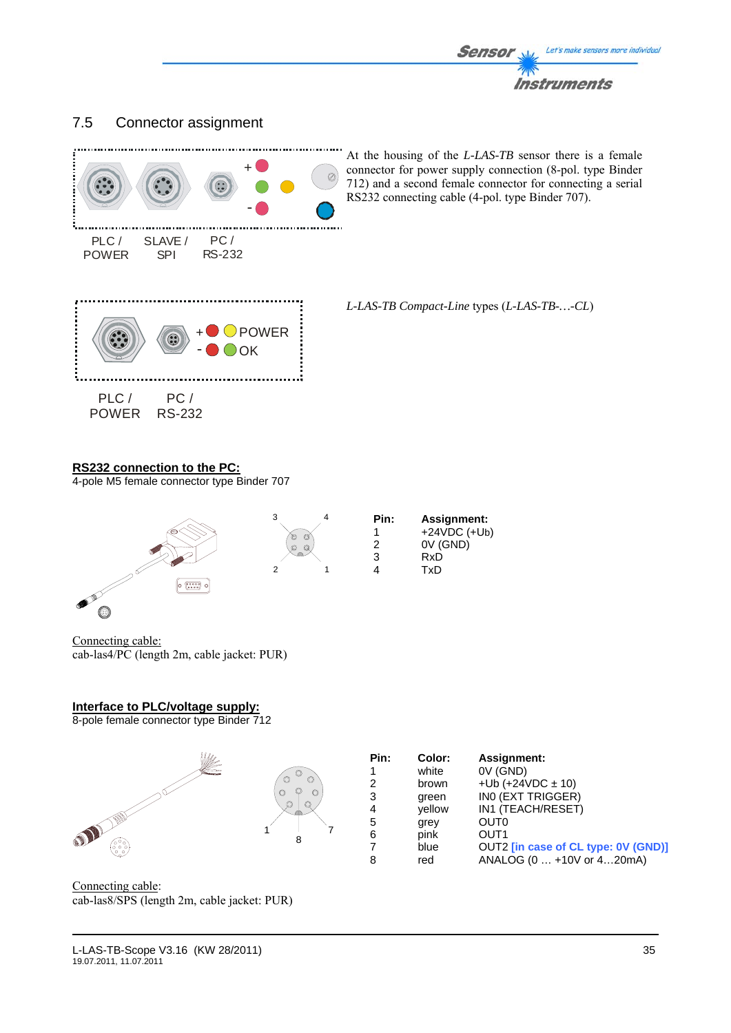

# 7.5 Connector assignment



At the housing of the *L-LAS-TB* sensor there is a female connector for power supply connection (8-pol. type Binder 712) and a second female connector for connecting a serial RS232 connecting cable (4-pol. type Binder 707).

*L-LAS-TB Compact-Line* types (*L-LAS-TB-…-CL*)

T<sub>x</sub>D

# **RS232 connection to the PC:**

4-pole M5 female connector type Binder 707



Connecting cable: cab-las4/PC (length 2m, cable jacket: PUR)

#### **Interface to PLC/voltage supply:**

8-pole female connector type Binder 712



Connecting cable: cab-las8/SPS (length 2m, cable jacket: PUR)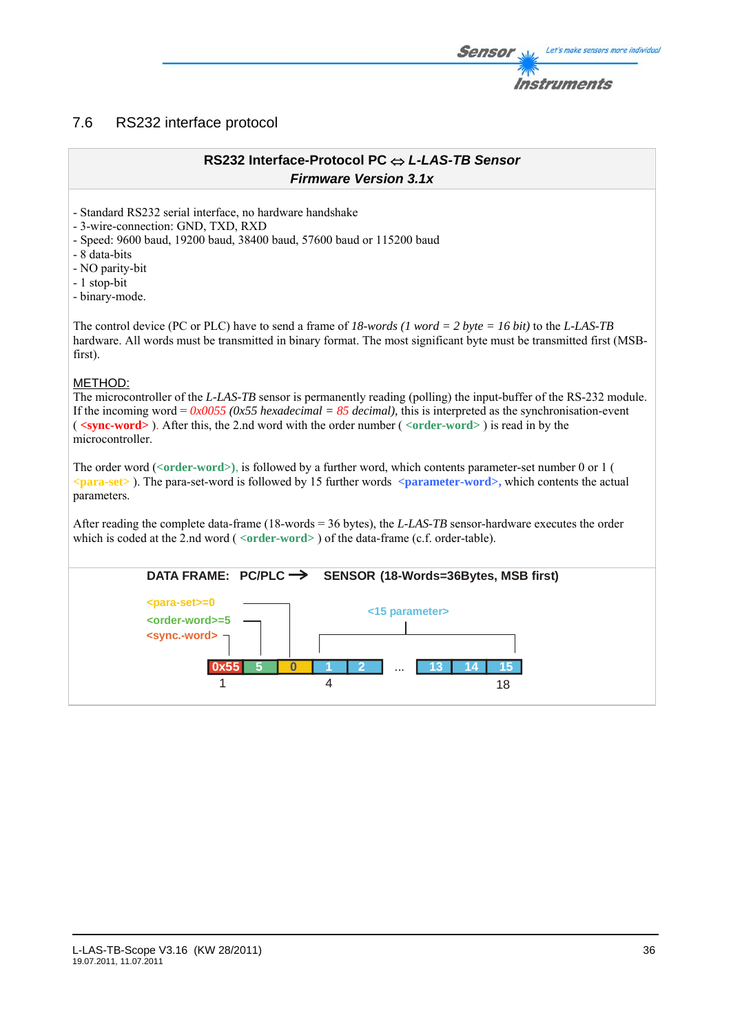# 7.6 RS232 interface protocol

# **RS232 Interface-Protocol PC** ⇔ *L-LAS-TB Sensor Firmware Version 3.1x*

- Standard RS232 serial interface, no hardware handshake

- 3-wire-connection: GND, TXD, RXD

- Speed: 9600 baud, 19200 baud, 38400 baud, 57600 baud or 115200 baud

- 8 data-bits

- NO parity-bit

- 1 stop-bit

- binary-mode.

The control device (PC or PLC) have to send a frame of *18-words (1 word = 2 byte = 16 bit)* to the *L-LAS-TB*  hardware. All words must be transmitted in binary format. The most significant byte must be transmitted first (MSBfirst).

# METHOD:

The microcontroller of the *L-LAS-TB* sensor is permanently reading (polling) the input-buffer of the RS-232 module. If the incoming word =  $0x0055$  ( $0x55$  *hexadecimal* =  $85$  *decimal*), this is interpreted as the synchronisation-event ( **<sync-word>** ). After this, the 2.nd word with the order number ( *<***order-word>** ) is read in by the microcontroller.

The order word (*<***order-word>)**, is followed by a further word, which contents parameter-set number 0 or 1 ( *<***para-set>** ). The para-set-word is followed by 15 further words **<parameter-word>,** which contents the actual parameters.

After reading the complete data-frame (18-words = 36 bytes), the *L-LAS-TB* sensor-hardware executes the order which is coded at the 2.nd word ( <**order-word**> ) of the data-frame (c.f. order-table).



Let's make sensors more individual

Instruments

Sensol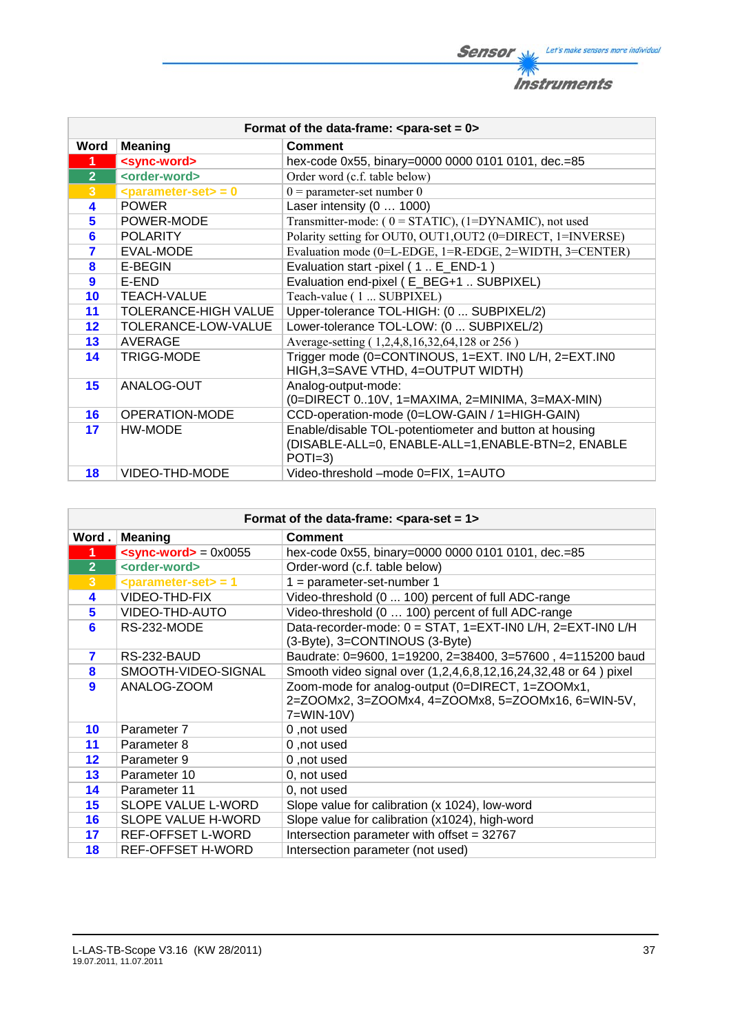**Sensor** Willy Let's make sensors more individual 不 **Instruments** 

| Format of the data-frame: $\leq$ para-set = 0> |                               |                                                                                                                          |
|------------------------------------------------|-------------------------------|--------------------------------------------------------------------------------------------------------------------------|
| Word                                           | <b>Meaning</b>                | <b>Comment</b>                                                                                                           |
| $\mathbf 1$                                    | <sync-word></sync-word>       | hex-code 0x55, binary=0000 0000 0101 0101, dec.=85                                                                       |
| $\overline{2}$                                 | <order-word></order-word>     | Order word (c.f. table below)                                                                                            |
| $\overline{3}$                                 | $\epsilon$ parameter-set> = 0 | $0 =$ parameter-set number 0                                                                                             |
| 4                                              | <b>POWER</b>                  | Laser intensity (0  1000)                                                                                                |
| 5                                              | POWER-MODE                    | Transmitter-mode: $(0 = STATIC)$ , $(1 = DYNAMIC)$ , not used                                                            |
| 6                                              | <b>POLARITY</b>               | Polarity setting for OUT0, OUT1, OUT2 (0=DIRECT, 1=INVERSE)                                                              |
| 7                                              | EVAL-MODE                     | Evaluation mode (0=L-EDGE, 1=R-EDGE, 2=WIDTH, 3=CENTER)                                                                  |
| 8                                              | E-BEGIN                       | Evaluation start -pixel (1. E_END-1)                                                                                     |
| 9                                              | E-END                         | Evaluation end-pixel (E_BEG+1  SUBPIXEL)                                                                                 |
| 10                                             | <b>TEACH-VALUE</b>            | Teach-value (1  SUBPIXEL)                                                                                                |
| 11                                             | <b>TOLERANCE-HIGH VALUE</b>   | Upper-tolerance TOL-HIGH: (0  SUBPIXEL/2)                                                                                |
| 12                                             | TOLERANCE-LOW-VALUE           | Lower-tolerance TOL-LOW: (0  SUBPIXEL/2)                                                                                 |
| 13                                             | AVERAGE                       | Average-setting (1,2,4,8,16,32,64,128 or 256)                                                                            |
| 14                                             | <b>TRIGG-MODE</b>             | Trigger mode (0=CONTINOUS, 1=EXT. IN0 L/H, 2=EXT.IN0<br>HIGH, 3=SAVE VTHD, 4=OUTPUT WIDTH)                               |
| 15                                             | ANALOG-OUT                    | Analog-output-mode:<br>(0=DIRECT 010V, 1=MAXIMA, 2=MINIMA, 3=MAX-MIN)                                                    |
| 16                                             | OPERATION-MODE                | CCD-operation-mode (0=LOW-GAIN / 1=HIGH-GAIN)                                                                            |
| 17                                             | HW-MODE                       | Enable/disable TOL-potentiometer and button at housing<br>(DISABLE-ALL=0, ENABLE-ALL=1, ENABLE-BTN=2, ENABLE<br>$POTI=3$ |
| 18                                             | VIDEO-THD-MODE                | Video-threshold -mode 0=FIX, 1=AUTO                                                                                      |

|                      | Format of the data-frame: $\epsilon$ para-set = 1> |                                                                 |  |
|----------------------|----------------------------------------------------|-----------------------------------------------------------------|--|
| Word.                | <b>Meaning</b>                                     | <b>Comment</b>                                                  |  |
| $\blacktriangleleft$ | $<$ sync-word> = 0x0055                            | hex-code 0x55, binary=0000 0000 0101 0101, dec.=85              |  |
| 2 <sup>2</sup>       | <order-word></order-word>                          | Order-word (c.f. table below)                                   |  |
| 3 <sup>2</sup>       | $\epsilon$ parameter-set> = 1                      | $1 = parameter-set-number 1$                                    |  |
| 4                    | VIDEO-THD-FIX                                      | Video-threshold (0  100) percent of full ADC-range              |  |
| 5                    | VIDEO-THD-AUTO                                     | Video-threshold (0  100) percent of full ADC-range              |  |
| 6                    | RS-232-MODE                                        | Data-recorder-mode: 0 = STAT, 1=EXT-IN0 L/H, 2=EXT-IN0 L/H      |  |
|                      |                                                    | (3-Byte), 3=CONTINOUS (3-Byte)                                  |  |
| 7                    | RS-232-BAUD                                        | Baudrate: 0=9600, 1=19200, 2=38400, 3=57600, 4=115200 baud      |  |
| 8                    | SMOOTH-VIDEO-SIGNAL                                | Smooth video signal over (1,2,4,6,8,12,16,24,32,48 or 64) pixel |  |
| $\boldsymbol{9}$     | ANALOG-ZOOM                                        | Zoom-mode for analog-output (0=DIRECT, 1=ZOOMx1,                |  |
|                      |                                                    | 2=ZOOMx2, 3=ZOOMx4, 4=ZOOMx8, 5=ZOOMx16, 6=WIN-5V,              |  |
|                      |                                                    | 7=WIN-10V)                                                      |  |
| 10                   | Parameter 7                                        | 0, not used                                                     |  |
| 11                   | Parameter 8                                        | 0, not used                                                     |  |
| 12                   | Parameter 9                                        | 0, not used                                                     |  |
| 13                   | Parameter 10                                       | 0, not used                                                     |  |
| 14                   | Parameter 11                                       | 0, not used                                                     |  |
| 15                   | SLOPE VALUE L-WORD                                 | Slope value for calibration (x 1024), low-word                  |  |
| 16                   | SLOPE VALUE H-WORD                                 | Slope value for calibration (x1024), high-word                  |  |
| 17                   | REF-OFFSET L-WORD                                  | Intersection parameter with offset = 32767                      |  |
| 18                   | <b>REF-OFFSET H-WORD</b>                           | Intersection parameter (not used)                               |  |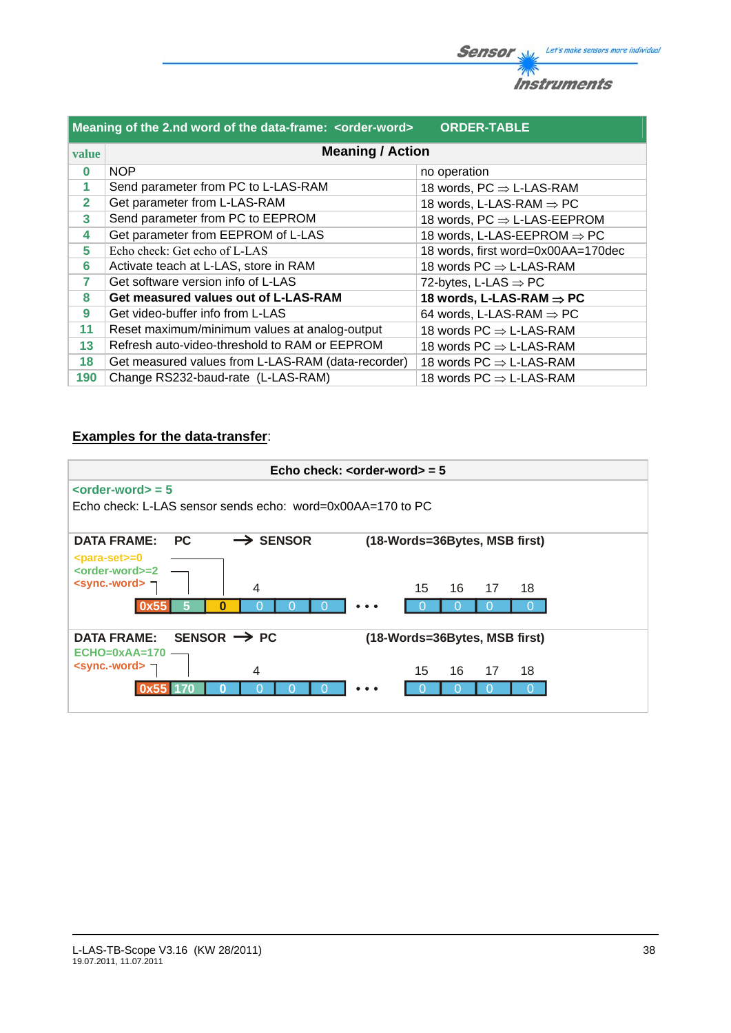|                | Meaning of the 2.nd word of the data-frame: <order-word></order-word> | <b>ORDER-TABLE</b>                         |
|----------------|-----------------------------------------------------------------------|--------------------------------------------|
| value          | <b>Meaning / Action</b>                                               |                                            |
| $\bf{0}$       | <b>NOP</b>                                                            | no operation                               |
| 1              | Send parameter from PC to L-LAS-RAM                                   | 18 words, $PC \Rightarrow$ L-LAS-RAM       |
| $\overline{2}$ | Get parameter from L-LAS-RAM                                          | 18 words, L-LAS-RAM $\Rightarrow$ PC       |
| 3              | Send parameter from PC to EEPROM                                      | 18 words, $PC \Rightarrow$ L-LAS-EEPROM    |
| 4              | Get parameter from EEPROM of L-LAS                                    | 18 words, L-LAS-EEPROM $\Rightarrow$ PC    |
| 5              | Echo check: Get echo of L-LAS                                         | 18 words, first word=0x00AA=170dec         |
| 6              | Activate teach at L-LAS, store in RAM                                 | 18 words $PC \Rightarrow L\text{-LAS-RAM}$ |
| 7              | Get software version info of L-LAS                                    | 72-bytes, L-LAS $\Rightarrow$ PC           |
| 8              | Get measured values out of L-LAS-RAM                                  | 18 words, L-LAS-RAM $\Rightarrow$ PC       |
| 9              | Get video-buffer info from L-LAS                                      | 64 words, L-LAS-RAM $\Rightarrow$ PC       |
| 11             | Reset maximum/minimum values at analog-output                         | 18 words $PC \Rightarrow L\text{-LAS-RAM}$ |
| 13             | Refresh auto-video-threshold to RAM or EEPROM                         | 18 words $PC \Rightarrow L\text{-LAS-RAM}$ |
| 18             | Get measured values from L-LAS-RAM (data-recorder)                    | 18 words $PC \Rightarrow L\text{-LAS-RAM}$ |
| 190            | Change RS232-baud-rate (L-LAS-RAM)                                    | 18 words $PC \Rightarrow L\text{-LAS-RAM}$ |

# **Examples for the data-transfer**:

|                                                                                                                               |                      | Echo check: $\leq$ order-word $>$ = 5 |  |
|-------------------------------------------------------------------------------------------------------------------------------|----------------------|---------------------------------------|--|
| $\left\langle \text{order-word}\right\rangle =5$<br>Echo check: L-LAS sensor sends echo: word=0x00AA=170 to PC                |                      |                                       |  |
| <b>DATA FRAME:</b><br>PC.                                                                                                     | $\rightarrow$ SENSOR | (18-Words=36Bytes, MSB first)         |  |
| <para-set>=0<br/><order-word>=2<br/><math>\le</math>sync.-word&gt; <math>\equiv</math><br/>Ω<br/>0x55</order-word></para-set> | 4                    | 15<br>16<br>17<br>18                  |  |
| SENSOR $\rightarrow$ PC<br><b>DATA FRAME:</b>                                                                                 |                      | (18-Words=36Bytes, MSB first)         |  |
| $ECHO=0xAA=170$<br><sync.-word> ¬</sync.-word>                                                                                | 4                    | 16<br>15<br>17<br>18                  |  |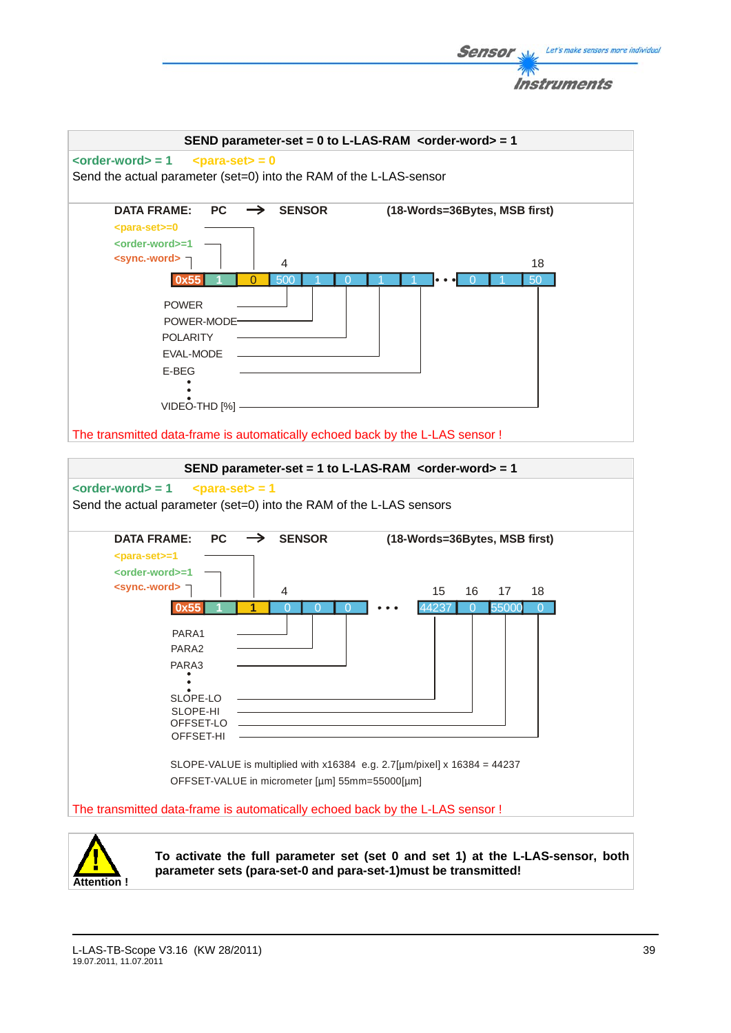



**To activate the full parameter set (set 0 and set 1) at the L-LAS-sensor, both parameter sets (para-set-0 and para-set-1)must be transmitted!** 

Let's make sensors more individual

Sensor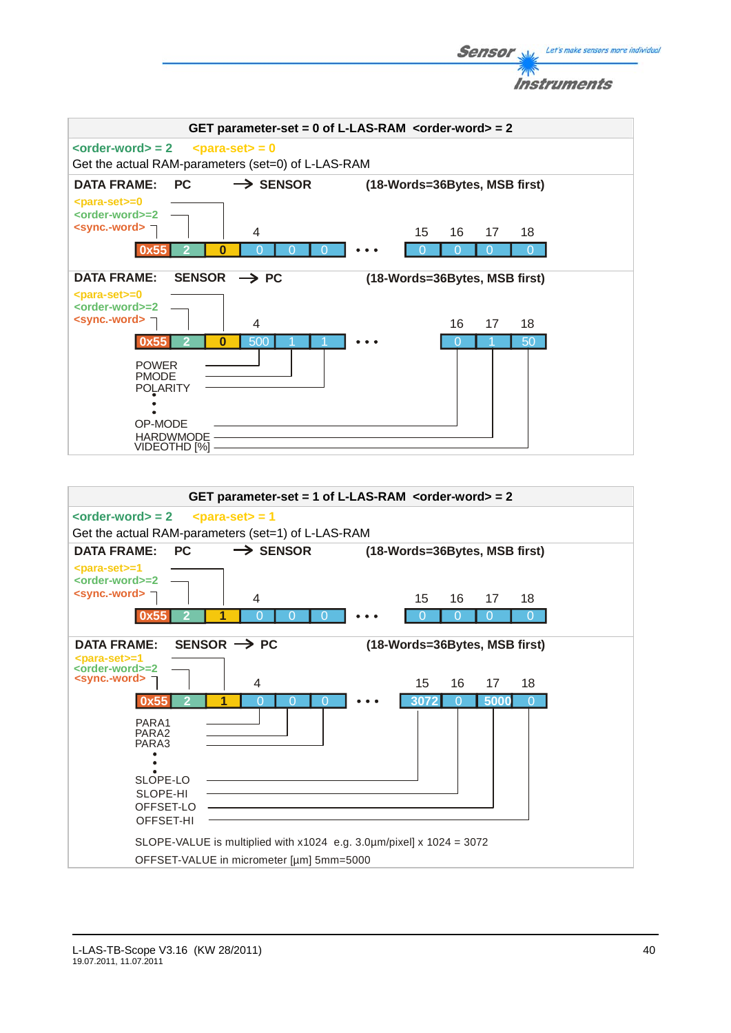



Let's make sensors more individual

**Sensor**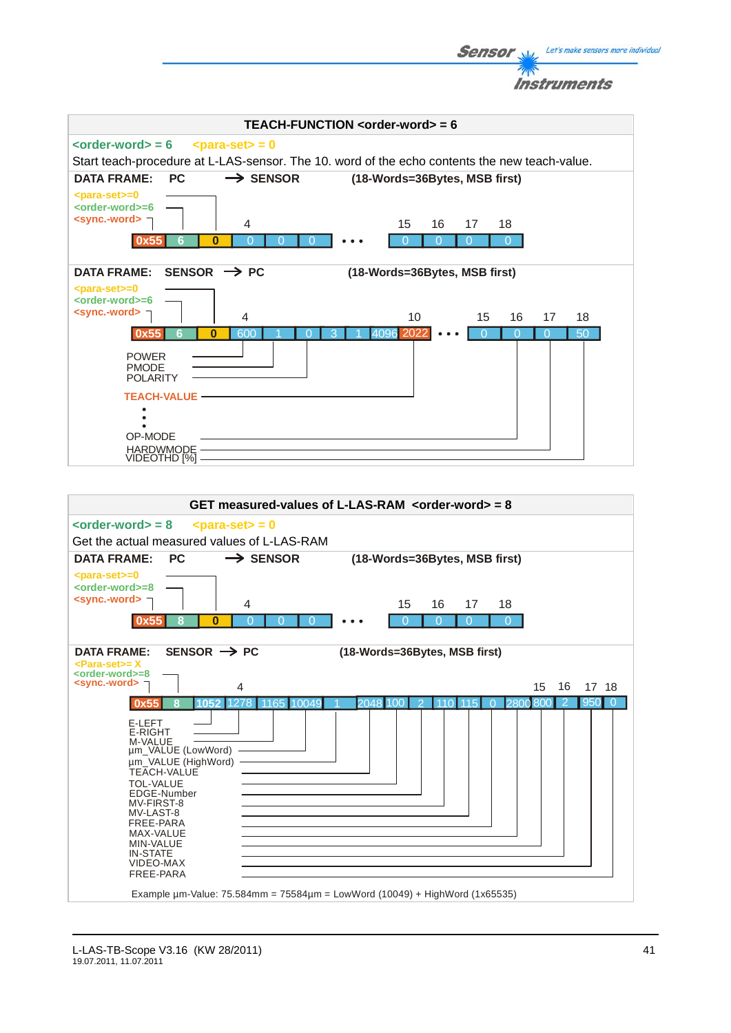**Sensor** Well Let's make sensors more individual Instruments



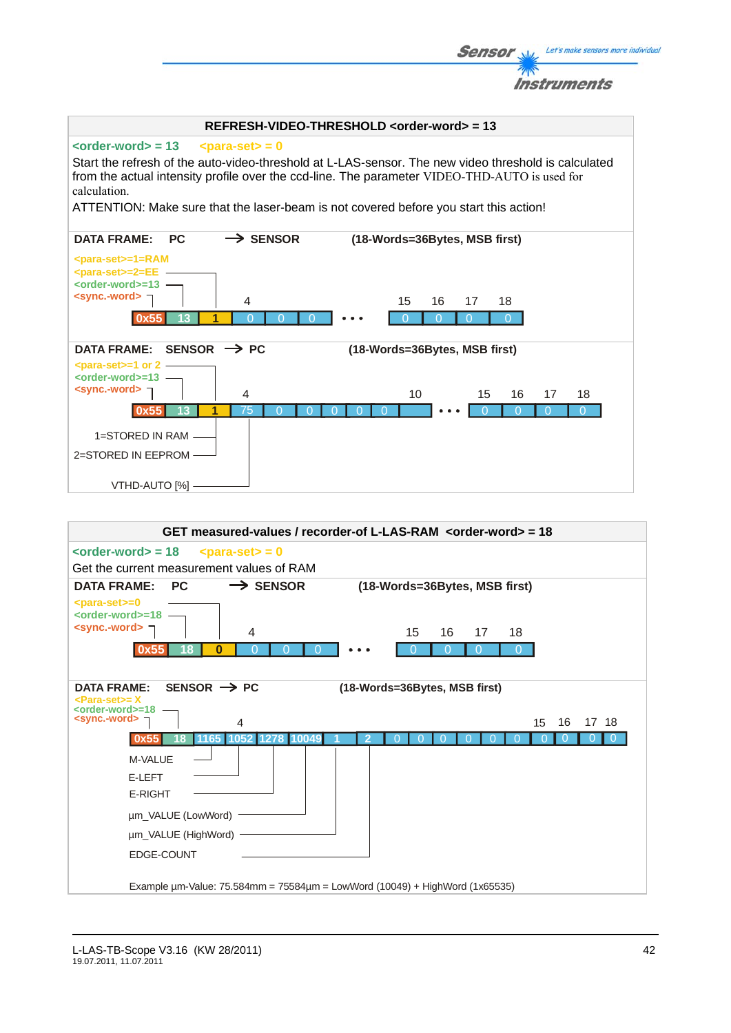| Instruments                                                                                                                                                                                                          |
|----------------------------------------------------------------------------------------------------------------------------------------------------------------------------------------------------------------------|
| REFRESH-VIDEO-THRESHOLD <order-word> = 13</order-word>                                                                                                                                                               |
| $\le$ order-word $>$ = 13<br>$\epsilon$ <para-set> = 0</para-set>                                                                                                                                                    |
| Start the refresh of the auto-video-threshold at L-LAS-sensor. The new video threshold is calculated<br>from the actual intensity profile over the ccd-line. The parameter VIDEO-THD-AUTO is used for<br>calculation |
| ATTENTION: Make sure that the laser-beam is not covered before you start this action!                                                                                                                                |
| $\rightarrow$ Sensor<br><b>DATA FRAME:</b><br><b>PC</b><br>(18-Words=36Bytes, MSB first)                                                                                                                             |
| $<$ para-set>=1=RAM<br><para-set>=2=EE<br/><order-word>=13 -<br/><sync.-word> ¬<br/>4<br/>15<br/>16<br/>17<br/>18</sync.-word></order-word></para-set>                                                               |
| 13<br>∩<br>SENSOR $\rightarrow$ PC<br><b>DATA FRAME:</b><br>(18-Words=36Bytes, MSB first)                                                                                                                            |
| $<$ para-set $> = 1$ or 2 $-$<br><order-word>=13 -<br/><sync.-word> コ<br/>4<br/>10<br/>15<br/>16<br/>18<br/>17</sync.-word></order-word>                                                                             |
| 75<br>13<br>0x55<br>$\cap$<br>$\Omega$<br>$\Omega$                                                                                                                                                                   |
| 1=STORED IN RAM -<br>2=STORED IN EEPROM<br>VTHD-AUTO [%] -                                                                                                                                                           |

**Sensor** Willy Let's make sensors more individual

 $\frac{1}{\sqrt{2}}$ 

| GET measured-values / recorder-of L-LAS-RAM <order-word> = 18</order-word>                     |
|------------------------------------------------------------------------------------------------|
| $\leftarrow$ <order-word> = 18<br/><math>&lt;</math>para-set<math>&gt;</math> = 0</order-word> |
| Get the current measurement values of RAM                                                      |
| $\rightarrow$ SENSOR<br><b>DATA FRAME:</b><br><b>PC</b><br>(18-Words=36Bytes, MSB first)       |
| <para-set>=0<br/><order-word>=18</order-word></para-set>                                       |
| $\le$ sync.-word> $\equiv$<br>15<br>4<br>16<br>17<br>18                                        |
| 0                                                                                              |
|                                                                                                |
| SENSOR $\rightarrow$ PC<br><b>DATA FRAME:</b><br>(18-Words=36Bytes, MSB first)                 |
| <para-set>= X<br/><order-word>=18</order-word></para-set>                                      |
| <sync.-word><br/>16<br/>17 18<br/>15<br/><math>\overline{4}</math></sync.-word>                |
| 112781<br>1165<br>1052<br>100                                                                  |
| M-VALUE                                                                                        |
| E-LEFT                                                                                         |
| E-RIGHT                                                                                        |
| um_VALUE (LowWord)                                                                             |
| um_VALUE (HighWord)                                                                            |
| EDGE-COUNT                                                                                     |
|                                                                                                |
| Example $\mu$ m-Value: 75.584mm = 75584 $\mu$ m = LowWord (10049) + HighWord (1x65535)         |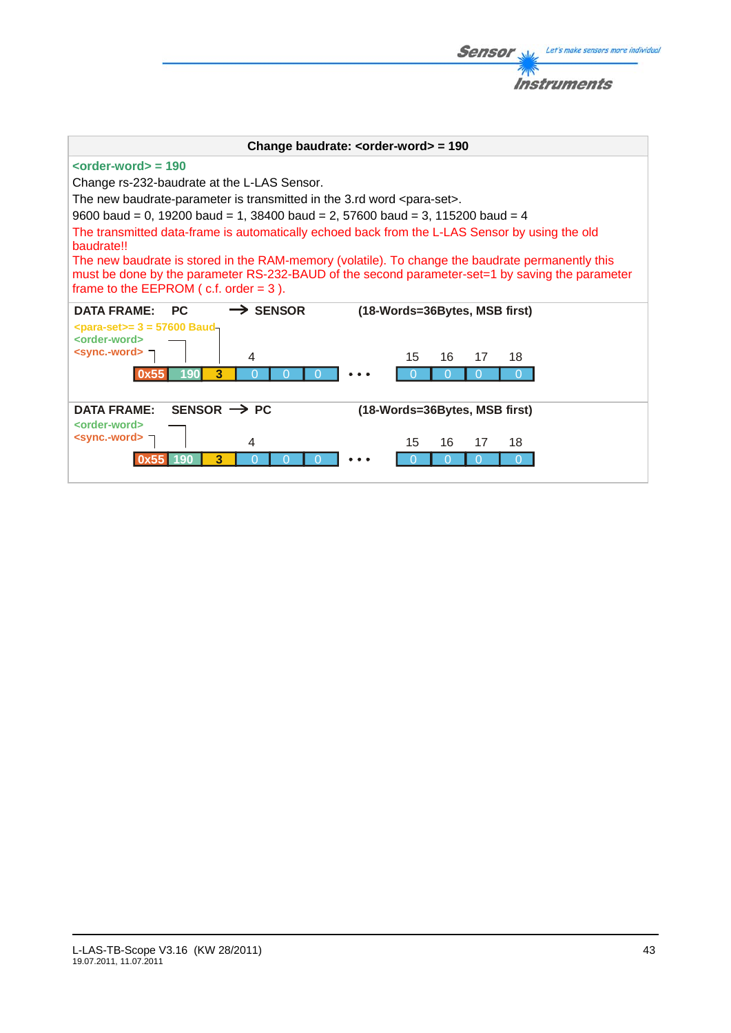| <i><b>Instruments</b></i>                                                                                                                                                                                                                                                                                                                                                                                                                                                                                                                                                                                                                            |
|------------------------------------------------------------------------------------------------------------------------------------------------------------------------------------------------------------------------------------------------------------------------------------------------------------------------------------------------------------------------------------------------------------------------------------------------------------------------------------------------------------------------------------------------------------------------------------------------------------------------------------------------------|
|                                                                                                                                                                                                                                                                                                                                                                                                                                                                                                                                                                                                                                                      |
| Change baudrate: $\leq$ order-word $>$ = 190                                                                                                                                                                                                                                                                                                                                                                                                                                                                                                                                                                                                         |
| $\leftarrow$ corder-word $\leftarrow$ = 190<br>Change rs-232-baudrate at the L-LAS Sensor.<br>The new baudrate-parameter is transmitted in the 3.rd word <para-set>.<br/>9600 baud = 0, 19200 baud = 1, 38400 baud = 2, 57600 baud = 3, 115200 baud = 4<br/>The transmitted data-frame is automatically echoed back from the L-LAS Sensor by using the old<br/>baudrate!!<br/>The new baudrate is stored in the RAM-memory (volatile). To change the baudrate permanently this<br/>must be done by the parameter RS-232-BAUD of the second parameter-set=1 by saving the parameter<br/>frame to the EEPROM <math>(c.f. order = 3)</math>.</para-set> |
| <b>DATA FRAME:</b><br><b>PC</b><br>$\rightarrow$ SENSOR<br>(18-Words=36Bytes, MSB first)<br>$\epsilon$ para-set>= 3 = 57600 Baud-                                                                                                                                                                                                                                                                                                                                                                                                                                                                                                                    |
| <order-word><br/><math>\le</math>sync.-word&gt; <math>\neg</math><br/>16<br/>4<br/>15<br/>17<br/>18<br/>3<br/>∩<br/>ю</order-word>                                                                                                                                                                                                                                                                                                                                                                                                                                                                                                                   |
| SENSOR $\rightarrow$ PC<br><b>DATA FRAME:</b><br>(18-Words=36Bytes, MSB first)                                                                                                                                                                                                                                                                                                                                                                                                                                                                                                                                                                       |
| <order-word><br/><sync.-word> ¬<br/>4<br/>15<br/>16<br/>18<br/>17<br/>3<br/>∩</sync.-word></order-word>                                                                                                                                                                                                                                                                                                                                                                                                                                                                                                                                              |

**Sensor** W/<sub>2</sub> Let's make sensors more individual